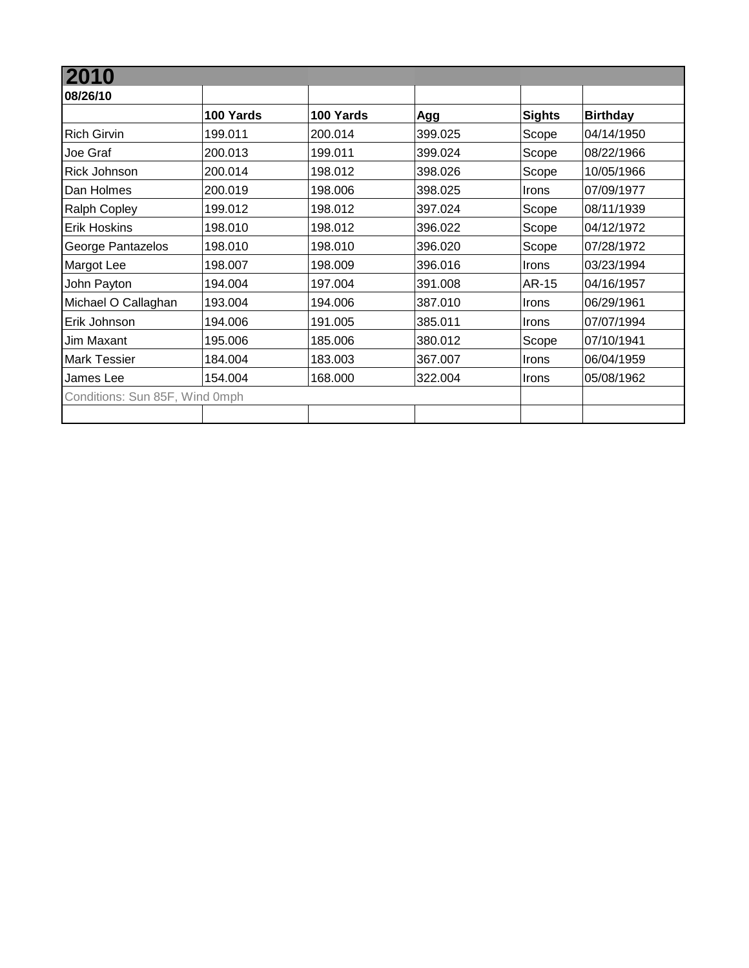| 10                             |           |           |         |               |                 |
|--------------------------------|-----------|-----------|---------|---------------|-----------------|
| 08/26/10                       |           |           |         |               |                 |
|                                | 100 Yards | 100 Yards | Agg     | <b>Sights</b> | <b>Birthday</b> |
| <b>Rich Girvin</b>             | 199.011   | 200.014   | 399.025 | Scope         | 04/14/1950      |
| Joe Graf                       | 200.013   | 199.011   | 399.024 | Scope         | 08/22/1966      |
| Rick Johnson                   | 200.014   | 198.012   | 398.026 | Scope         | 10/05/1966      |
| Dan Holmes                     | 200.019   | 198.006   | 398.025 | Irons         | 07/09/1977      |
| <b>Ralph Copley</b>            | 199.012   | 198.012   | 397.024 | Scope         | 08/11/1939      |
| <b>Erik Hoskins</b>            | 198.010   | 198.012   | 396.022 | Scope         | 04/12/1972      |
| George Pantazelos              | 198.010   | 198.010   | 396.020 | Scope         | 07/28/1972      |
| Margot Lee                     | 198.007   | 198.009   | 396.016 | Irons         | 03/23/1994      |
| John Payton                    | 194.004   | 197.004   | 391.008 | AR-15         | 04/16/1957      |
| Michael O Callaghan            | 193.004   | 194.006   | 387.010 | <b>Irons</b>  | 06/29/1961      |
| Erik Johnson                   | 194.006   | 191.005   | 385.011 | <b>Irons</b>  | 07/07/1994      |
| Jim Maxant                     | 195.006   | 185.006   | 380.012 | Scope         | 07/10/1941      |
| <b>Mark Tessier</b>            | 184.004   | 183.003   | 367.007 | Irons         | 06/04/1959      |
| James Lee                      | 154.004   | 168.000   | 322.004 | <b>Irons</b>  | 05/08/1962      |
| Conditions: Sun 85F, Wind 0mph |           |           |         |               |                 |
|                                |           |           |         |               |                 |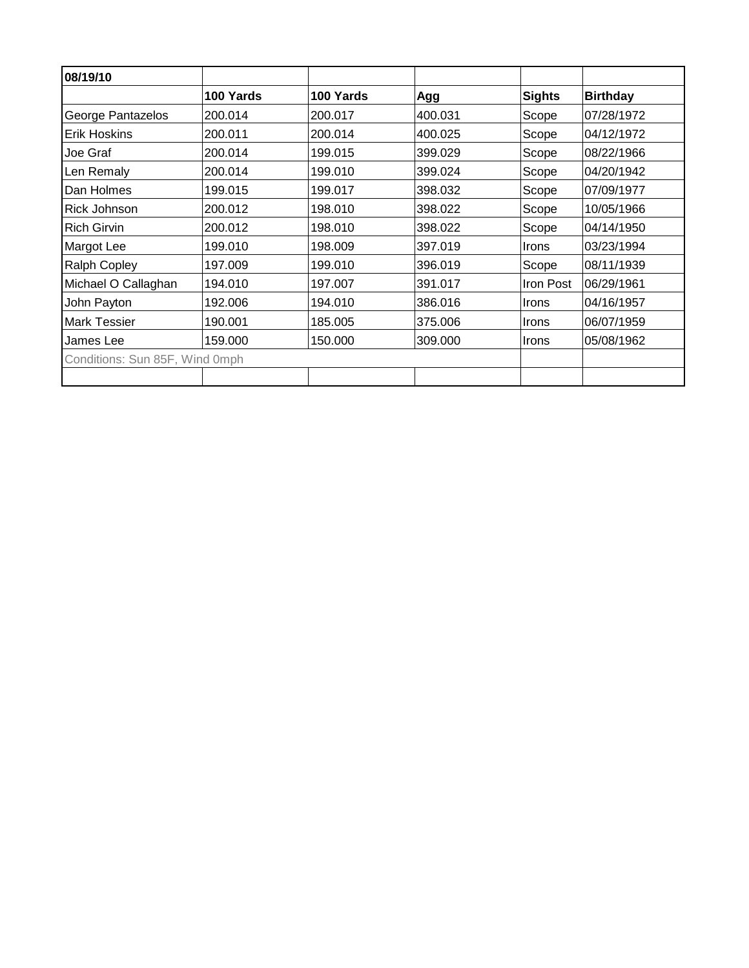| 08/19/10                       |           |           |         |               |                 |
|--------------------------------|-----------|-----------|---------|---------------|-----------------|
|                                | 100 Yards | 100 Yards | Agg     | <b>Sights</b> | <b>Birthday</b> |
| George Pantazelos              | 200.014   | 200.017   | 400.031 | Scope         | 07/28/1972      |
| <b>Erik Hoskins</b>            | 200.011   | 200.014   | 400.025 | Scope         | 04/12/1972      |
| Joe Graf                       | 200.014   | 199.015   | 399.029 | Scope         | 08/22/1966      |
| Len Remaly                     | 200.014   | 199.010   | 399.024 | Scope         | 04/20/1942      |
| Dan Holmes                     | 199.015   | 199.017   | 398.032 | Scope         | 07/09/1977      |
| <b>Rick Johnson</b>            | 200.012   | 198.010   | 398.022 | Scope         | 10/05/1966      |
| <b>Rich Girvin</b>             | 200.012   | 198.010   | 398.022 | Scope         | 04/14/1950      |
| Margot Lee                     | 199.010   | 198.009   | 397.019 | <b>Irons</b>  | 03/23/1994      |
| <b>Ralph Copley</b>            | 197.009   | 199.010   | 396.019 | Scope         | 08/11/1939      |
| Michael O Callaghan            | 194.010   | 197.007   | 391.017 | Iron Post     | 06/29/1961      |
| John Payton                    | 192.006   | 194.010   | 386.016 | <b>Irons</b>  | 04/16/1957      |
| <b>Mark Tessier</b>            | 190.001   | 185.005   | 375.006 | <b>Irons</b>  | 06/07/1959      |
| James Lee                      | 159.000   | 150.000   | 309.000 | Irons         | 05/08/1962      |
| Conditions: Sun 85F, Wind 0mph |           |           |         |               |                 |
|                                |           |           |         |               |                 |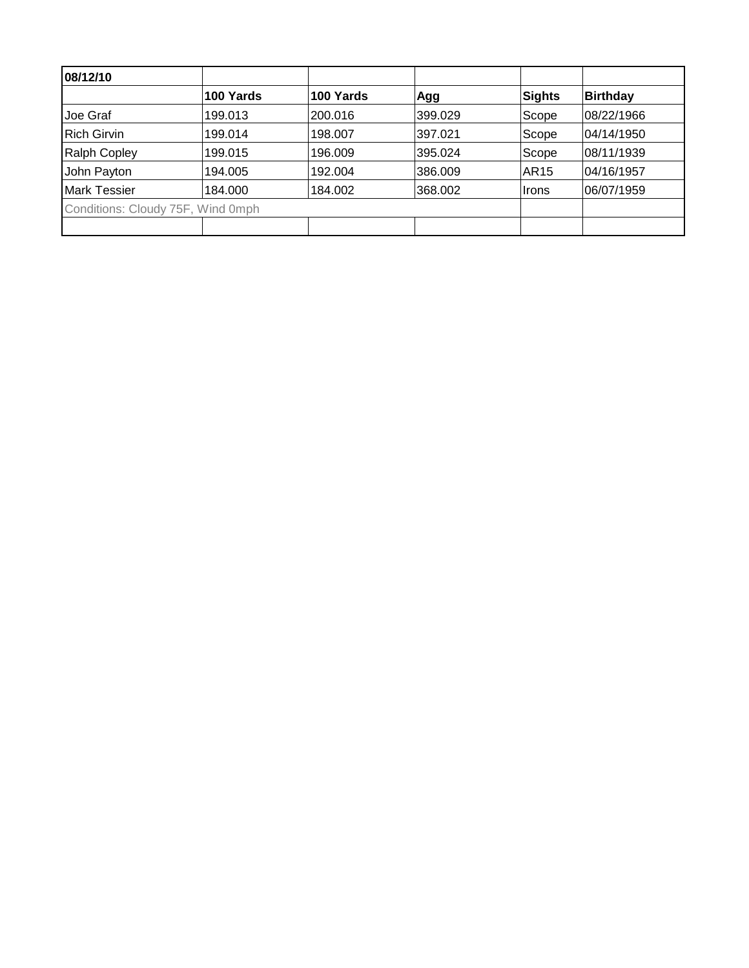| 08/12/10                          |           |           |         |                  |                 |
|-----------------------------------|-----------|-----------|---------|------------------|-----------------|
|                                   | 100 Yards | 100 Yards | Agg     | Sights           | <b>Birthday</b> |
| Joe Graf                          | 199.013   | 200.016   | 399.029 | Scope            | 08/22/1966      |
| <b>Rich Girvin</b>                | 199.014   | 198.007   | 397.021 | Scope            | 04/14/1950      |
| <b>Ralph Copley</b>               | 199.015   | 196.009   | 395.024 | Scope            | 08/11/1939      |
| John Payton                       | 194.005   | 192.004   | 386,009 | AR <sub>15</sub> | 04/16/1957      |
| <b>Mark Tessier</b>               | 184.000   | 184.002   | 368.002 | ∣Irons           | 06/07/1959      |
| Conditions: Cloudy 75F, Wind 0mph |           |           |         |                  |                 |
|                                   |           |           |         |                  |                 |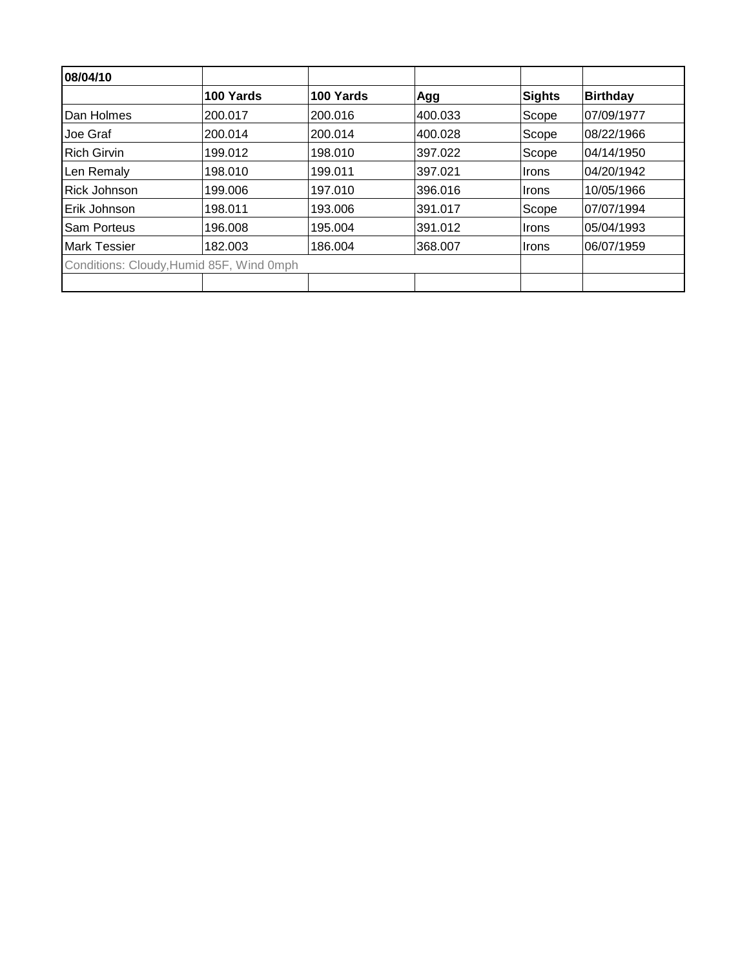| 08/04/10                                 |           |           |         |              |                 |
|------------------------------------------|-----------|-----------|---------|--------------|-----------------|
|                                          | 100 Yards | 100 Yards | Agg     | Sights       | <b>Birthday</b> |
| Dan Holmes                               | 200.017   | 200.016   | 400.033 | Scope        | 07/09/1977      |
| Joe Graf                                 | 200.014   | 200.014   | 400.028 | Scope        | 08/22/1966      |
| <b>Rich Girvin</b>                       | 199.012   | 198.010   | 397.022 | Scope        | 04/14/1950      |
| Len Remaly                               | 198.010   | 199.011   | 397.021 | Irons        | 04/20/1942      |
| Rick Johnson                             | 199.006   | 197.010   | 396.016 | Irons        | 10/05/1966      |
| Erik Johnson                             | 198.011   | 193.006   | 391.017 | Scope        | 07/07/1994      |
| <b>Sam Porteus</b>                       | 196.008   | 195.004   | 391.012 | <b>Irons</b> | 05/04/1993      |
| <b>Mark Tessier</b>                      | 182.003   | 186.004   | 368.007 | ⊪Irons       | 06/07/1959      |
| Conditions: Cloudy, Humid 85F, Wind 0mph |           |           |         |              |                 |
|                                          |           |           |         |              |                 |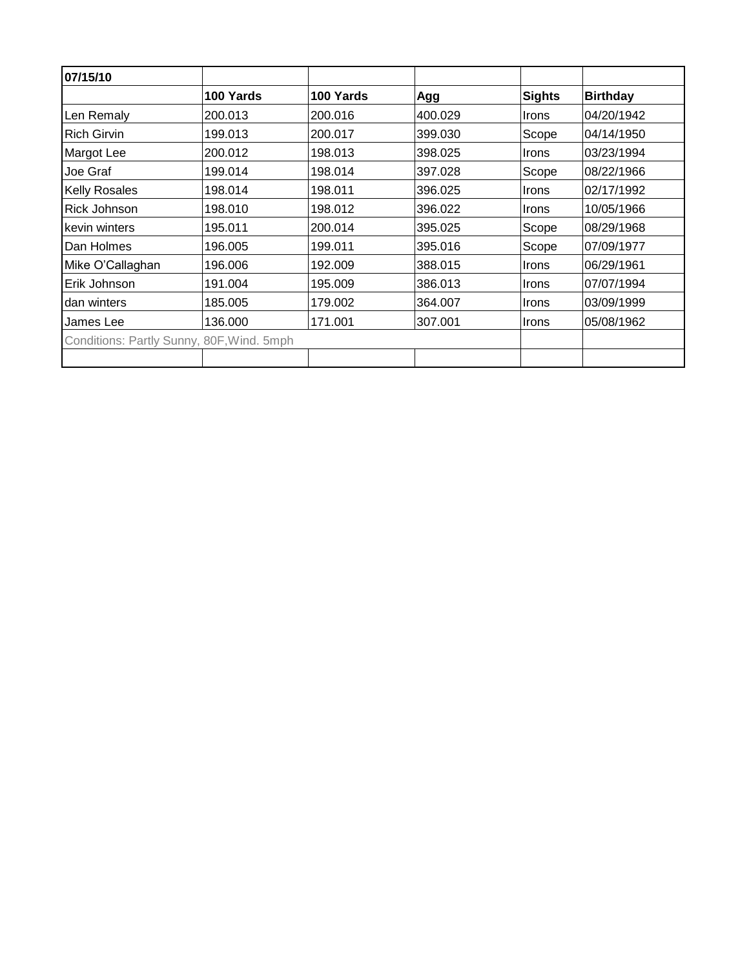| 07/15/10                                  |           |           |         |               |                 |
|-------------------------------------------|-----------|-----------|---------|---------------|-----------------|
|                                           | 100 Yards | 100 Yards | Agg     | <b>Sights</b> | <b>Birthday</b> |
| Len Remaly                                | 200.013   | 200.016   | 400.029 | <b>Irons</b>  | 04/20/1942      |
| <b>Rich Girvin</b>                        | 199.013   | 200.017   | 399.030 | Scope         | 04/14/1950      |
| Margot Lee                                | 200.012   | 198.013   | 398.025 | <b>Irons</b>  | 03/23/1994      |
| Joe Graf                                  | 199.014   | 198.014   | 397.028 | Scope         | 08/22/1966      |
| <b>Kelly Rosales</b>                      | 198.014   | 198.011   | 396.025 | <b>Irons</b>  | 02/17/1992      |
| Rick Johnson                              | 198.010   | 198.012   | 396.022 | <b>Irons</b>  | 10/05/1966      |
| kevin winters                             | 195.011   | 200.014   | 395.025 | Scope         | 08/29/1968      |
| Dan Holmes                                | 196.005   | 199.011   | 395.016 | Scope         | 07/09/1977      |
| Mike O'Callaghan                          | 196.006   | 192.009   | 388.015 | <b>Irons</b>  | 06/29/1961      |
| Erik Johnson                              | 191.004   | 195.009   | 386.013 | Irons         | 07/07/1994      |
| dan winters                               | 185.005   | 179.002   | 364.007 | <b>Irons</b>  | 03/09/1999      |
| James Lee                                 | 136.000   | 171.001   | 307.001 | Irons         | 05/08/1962      |
| Conditions: Partly Sunny, 80F, Wind. 5mph |           |           |         |               |                 |
|                                           |           |           |         |               |                 |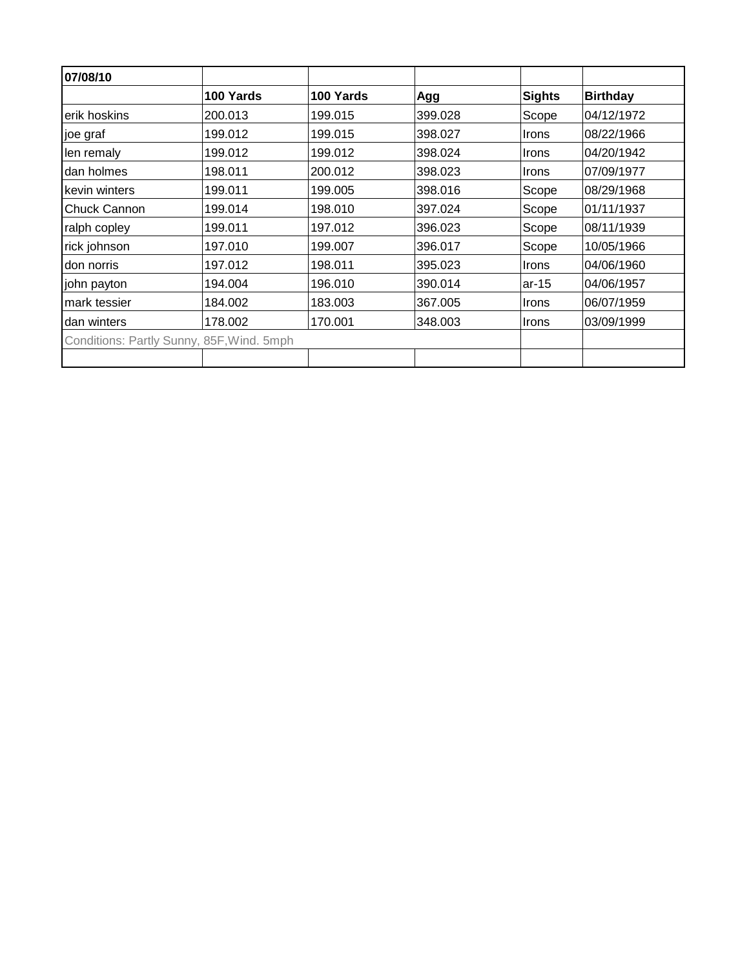| 07/08/10            |                                           |           |         |               |                 |
|---------------------|-------------------------------------------|-----------|---------|---------------|-----------------|
|                     | 100 Yards                                 | 100 Yards | Agg     | <b>Sights</b> | <b>Birthday</b> |
| erik hoskins        | 200.013                                   | 199.015   | 399.028 | Scope         | 04/12/1972      |
| joe graf            | 199.012                                   | 199.015   | 398.027 | <b>Irons</b>  | 08/22/1966      |
| len remaly          | 199.012                                   | 199.012   | 398.024 | Irons         | 04/20/1942      |
| dan holmes          | 198.011                                   | 200.012   | 398.023 | <b>Irons</b>  | 07/09/1977      |
| kevin winters       | 199.011                                   | 199.005   | 398.016 | Scope         | 08/29/1968      |
| <b>Chuck Cannon</b> | 199.014                                   | 198.010   | 397.024 | Scope         | 01/11/1937      |
| ralph copley        | 199.011                                   | 197.012   | 396.023 | Scope         | 08/11/1939      |
| rick johnson        | 197.010                                   | 199.007   | 396.017 | Scope         | 10/05/1966      |
| don norris          | 197.012                                   | 198.011   | 395.023 | Irons         | 04/06/1960      |
| john payton         | 194.004                                   | 196.010   | 390.014 | ar-15         | 04/06/1957      |
| mark tessier        | 184.002                                   | 183.003   | 367.005 | Irons         | 06/07/1959      |
| dan winters         | 178.002                                   | 170.001   | 348.003 | Irons         | 03/09/1999      |
|                     | Conditions: Partly Sunny, 85F, Wind. 5mph |           |         |               |                 |
|                     |                                           |           |         |               |                 |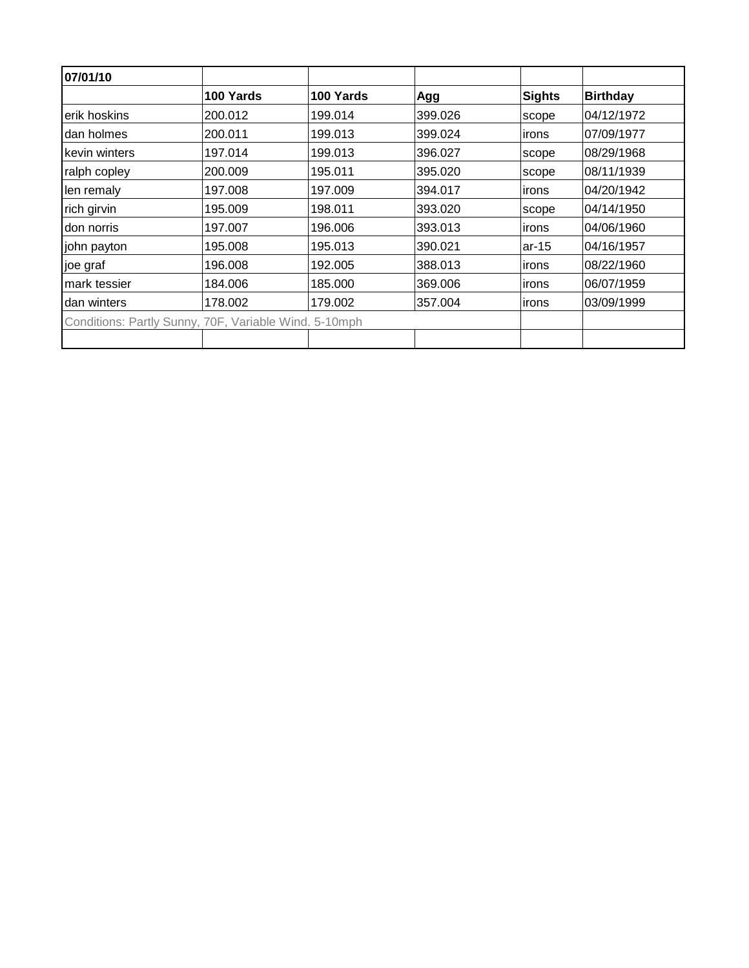| 07/01/10      |                                                       |           |         |               |                 |
|---------------|-------------------------------------------------------|-----------|---------|---------------|-----------------|
|               | 100 Yards                                             | 100 Yards | Agg     | <b>Sights</b> | <b>Birthday</b> |
| erik hoskins  | 200.012                                               | 199.014   | 399.026 | scope         | 04/12/1972      |
| Idan holmes   | 200.011                                               | 199.013   | 399.024 | irons         | 07/09/1977      |
| kevin winters | 197.014                                               | 199.013   | 396.027 | scope         | 08/29/1968      |
| ralph copley  | 200.009                                               | 195.011   | 395.020 | scope         | 08/11/1939      |
| len remaly    | 197.008                                               | 197.009   | 394.017 | irons         | 04/20/1942      |
| rich girvin   | 195.009                                               | 198.011   | 393.020 | scope         | 04/14/1950      |
| don norris    | 197.007                                               | 196.006   | 393.013 | irons         | 04/06/1960      |
| john payton   | 195.008                                               | 195.013   | 390.021 | $ar-15$       | 04/16/1957      |
| joe graf      | 196.008                                               | 192.005   | 388.013 | irons         | 08/22/1960      |
| mark tessier  | 184.006                                               | 185.000   | 369.006 | irons         | 06/07/1959      |
| dan winters   | 178.002                                               | 179.002   | 357.004 | irons         | 03/09/1999      |
|               | Conditions: Partly Sunny, 70F, Variable Wind. 5-10mph |           |         |               |                 |
|               |                                                       |           |         |               |                 |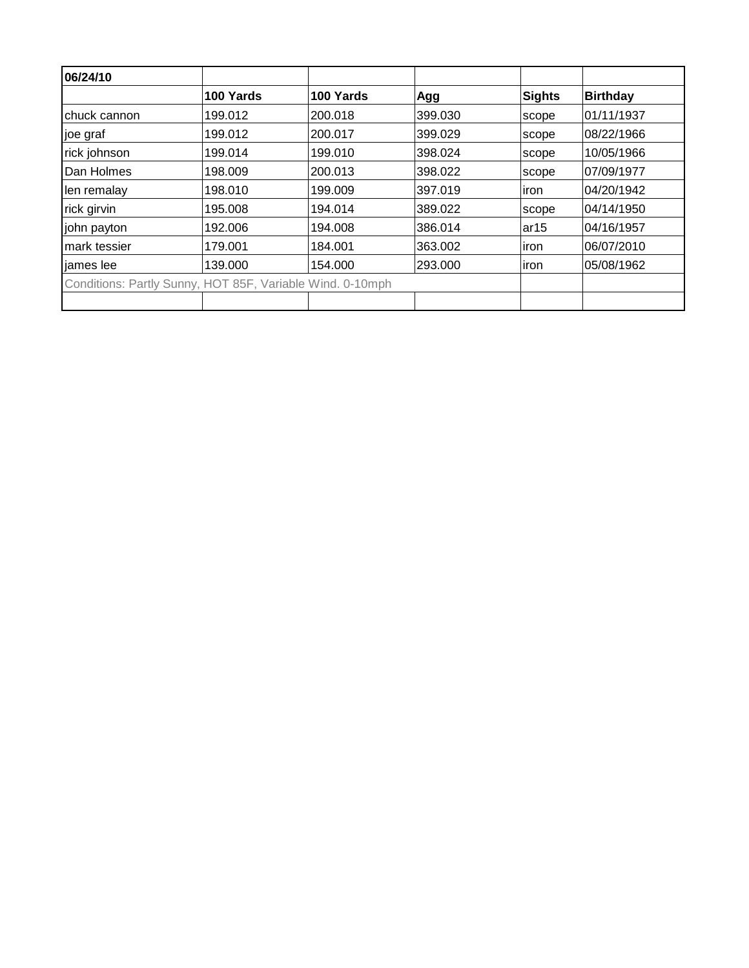| 06/24/10     |                                                           |           |         |             |                 |
|--------------|-----------------------------------------------------------|-----------|---------|-------------|-----------------|
|              | 100 Yards                                                 | 100 Yards | Agg     | Sights      | <b>Birthday</b> |
| chuck cannon | 199.012                                                   | 200.018   | 399.030 | scope       | 01/11/1937      |
| joe graf     | 199.012                                                   | 200.017   | 399.029 | scope       | 08/22/1966      |
| rick johnson | 199.014                                                   | 199.010   | 398.024 | scope       | 10/05/1966      |
| Dan Holmes   | 198.009                                                   | 200.013   | 398.022 | scope       | 07/09/1977      |
| len remalay  | 198.010                                                   | 199.009   | 397.019 | iron        | 04/20/1942      |
| rick girvin  | 195.008                                                   | 194.014   | 389.022 | scope       | 04/14/1950      |
| john payton  | 192.006                                                   | 194.008   | 386.014 | ar15        | 04/16/1957      |
| mark tessier | 179.001                                                   | 184.001   | 363.002 | iron        | 06/07/2010      |
| liames lee   | 139.000                                                   | 154.000   | 293.000 | <i>iron</i> | 05/08/1962      |
|              | Conditions: Partly Sunny, HOT 85F, Variable Wind. 0-10mph |           |         |             |                 |
|              |                                                           |           |         |             |                 |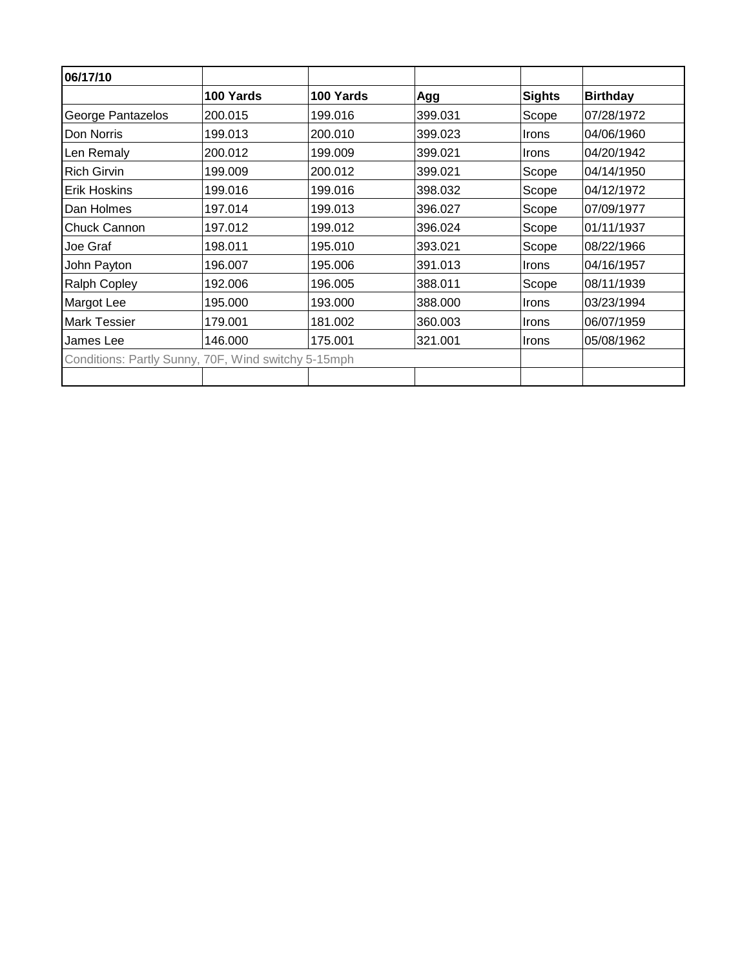| 06/17/10                                            |           |           |         |               |                 |
|-----------------------------------------------------|-----------|-----------|---------|---------------|-----------------|
|                                                     | 100 Yards | 100 Yards | Agg     | <b>Sights</b> | <b>Birthday</b> |
| George Pantazelos                                   | 200.015   | 199.016   | 399.031 | Scope         | 07/28/1972      |
| Don Norris                                          | 199.013   | 200.010   | 399.023 | Irons         | 04/06/1960      |
| Len Remaly                                          | 200.012   | 199.009   | 399.021 | <b>Irons</b>  | 04/20/1942      |
| <b>Rich Girvin</b>                                  | 199.009   | 200.012   | 399.021 | Scope         | 04/14/1950      |
| <b>Erik Hoskins</b>                                 | 199.016   | 199.016   | 398.032 | Scope         | 04/12/1972      |
| Dan Holmes                                          | 197.014   | 199.013   | 396.027 | Scope         | 07/09/1977      |
| <b>Chuck Cannon</b>                                 | 197.012   | 199.012   | 396.024 | Scope         | 01/11/1937      |
| Joe Graf                                            | 198.011   | 195.010   | 393.021 | Scope         | 08/22/1966      |
| John Payton                                         | 196.007   | 195.006   | 391.013 | <b>Irons</b>  | 04/16/1957      |
| <b>Ralph Copley</b>                                 | 192.006   | 196.005   | 388.011 | Scope         | 08/11/1939      |
| Margot Lee                                          | 195.000   | 193.000   | 388.000 | <b>Irons</b>  | 03/23/1994      |
| <b>Mark Tessier</b>                                 | 179.001   | 181.002   | 360.003 | Irons         | 06/07/1959      |
| James Lee                                           | 146.000   | 175.001   | 321.001 | Irons         | 05/08/1962      |
| Conditions: Partly Sunny, 70F, Wind switchy 5-15mph |           |           |         |               |                 |
|                                                     |           |           |         |               |                 |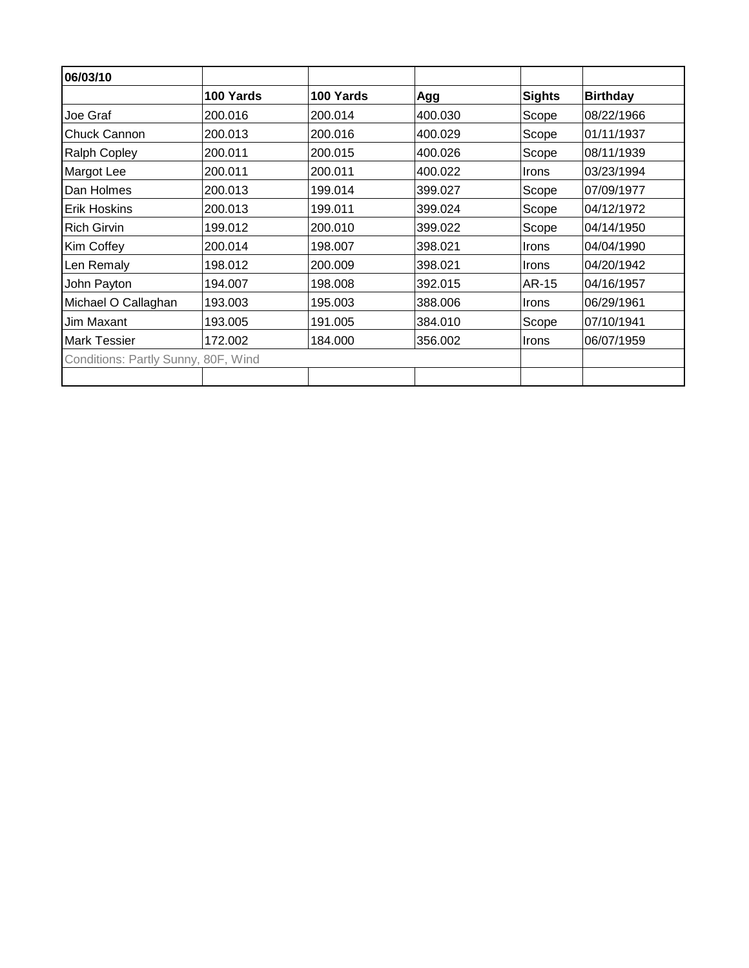| 06/03/10                            |           |           |         |               |                 |
|-------------------------------------|-----------|-----------|---------|---------------|-----------------|
|                                     | 100 Yards | 100 Yards | Agg     | <b>Sights</b> | <b>Birthday</b> |
| Joe Graf                            | 200.016   | 200.014   | 400.030 | Scope         | 08/22/1966      |
| Chuck Cannon                        | 200.013   | 200.016   | 400.029 | Scope         | 01/11/1937      |
| <b>Ralph Copley</b>                 | 200.011   | 200.015   | 400.026 | Scope         | 08/11/1939      |
| Margot Lee                          | 200.011   | 200.011   | 400.022 | <b>Irons</b>  | 03/23/1994      |
| Dan Holmes                          | 200.013   | 199.014   | 399.027 | Scope         | 07/09/1977      |
| <b>Erik Hoskins</b>                 | 200.013   | 199.011   | 399.024 | Scope         | 04/12/1972      |
| <b>Rich Girvin</b>                  | 199.012   | 200.010   | 399.022 | Scope         | 04/14/1950      |
| Kim Coffey                          | 200.014   | 198.007   | 398.021 | <b>Irons</b>  | 04/04/1990      |
| Len Remaly                          | 198.012   | 200.009   | 398.021 | <b>Irons</b>  | 04/20/1942      |
| John Payton                         | 194.007   | 198.008   | 392.015 | AR-15         | 04/16/1957      |
| Michael O Callaghan                 | 193.003   | 195.003   | 388.006 | <b>Irons</b>  | 06/29/1961      |
| Jim Maxant                          | 193.005   | 191.005   | 384.010 | Scope         | 07/10/1941      |
| <b>Mark Tessier</b>                 | 172.002   | 184.000   | 356.002 | <b>Irons</b>  | 06/07/1959      |
| Conditions: Partly Sunny, 80F, Wind |           |           |         |               |                 |
|                                     |           |           |         |               |                 |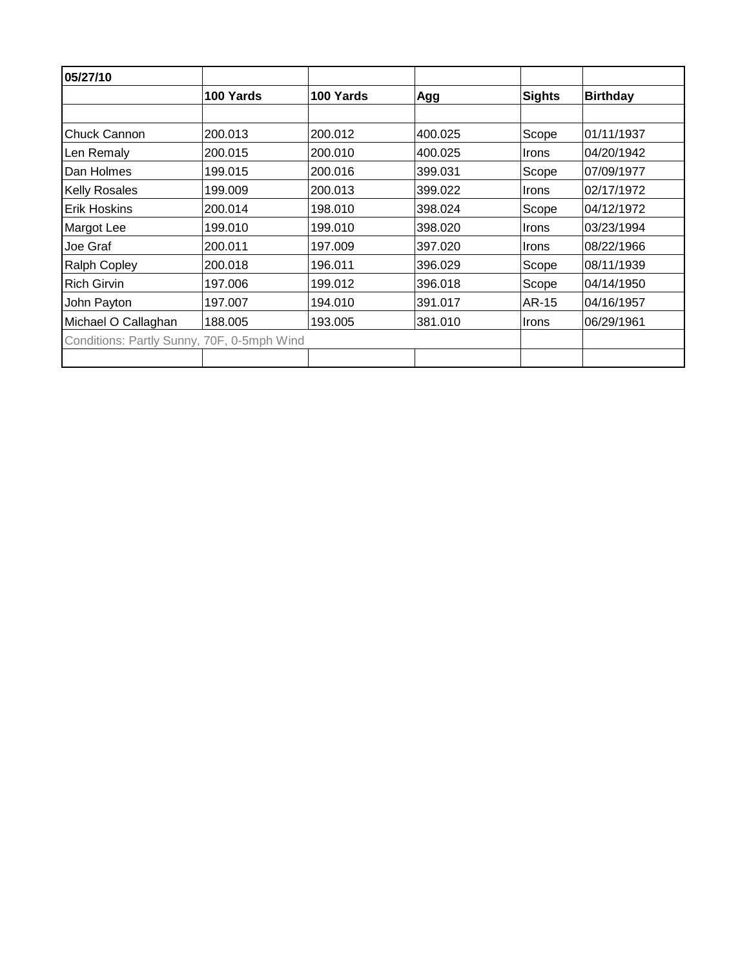| 05/27/10                                   |           |           |         |               |                 |
|--------------------------------------------|-----------|-----------|---------|---------------|-----------------|
|                                            | 100 Yards | 100 Yards | Agg     | <b>Sights</b> | <b>Birthday</b> |
|                                            |           |           |         |               |                 |
| <b>Chuck Cannon</b>                        | 200.013   | 200.012   | 400.025 | Scope         | 01/11/1937      |
| Len Remaly                                 | 200.015   | 200.010   | 400.025 | <b>Irons</b>  | 04/20/1942      |
| Dan Holmes                                 | 199.015   | 200.016   | 399.031 | Scope         | 07/09/1977      |
| <b>Kelly Rosales</b>                       | 199.009   | 200.013   | 399.022 | <b>Irons</b>  | 02/17/1972      |
| Erik Hoskins                               | 200.014   | 198.010   | 398.024 | Scope         | 04/12/1972      |
| Margot Lee                                 | 199.010   | 199.010   | 398.020 | Irons         | 03/23/1994      |
| Joe Graf                                   | 200.011   | 197.009   | 397.020 | <b>Irons</b>  | 08/22/1966      |
| <b>Ralph Copley</b>                        | 200.018   | 196.011   | 396.029 | Scope         | 08/11/1939      |
| <b>Rich Girvin</b>                         | 197.006   | 199.012   | 396.018 | Scope         | 04/14/1950      |
| John Payton                                | 197.007   | 194.010   | 391.017 | AR-15         | 04/16/1957      |
| Michael O Callaghan                        | 188.005   | 193.005   | 381.010 | Irons         | 06/29/1961      |
| Conditions: Partly Sunny, 70F, 0-5mph Wind |           |           |         |               |                 |
|                                            |           |           |         |               |                 |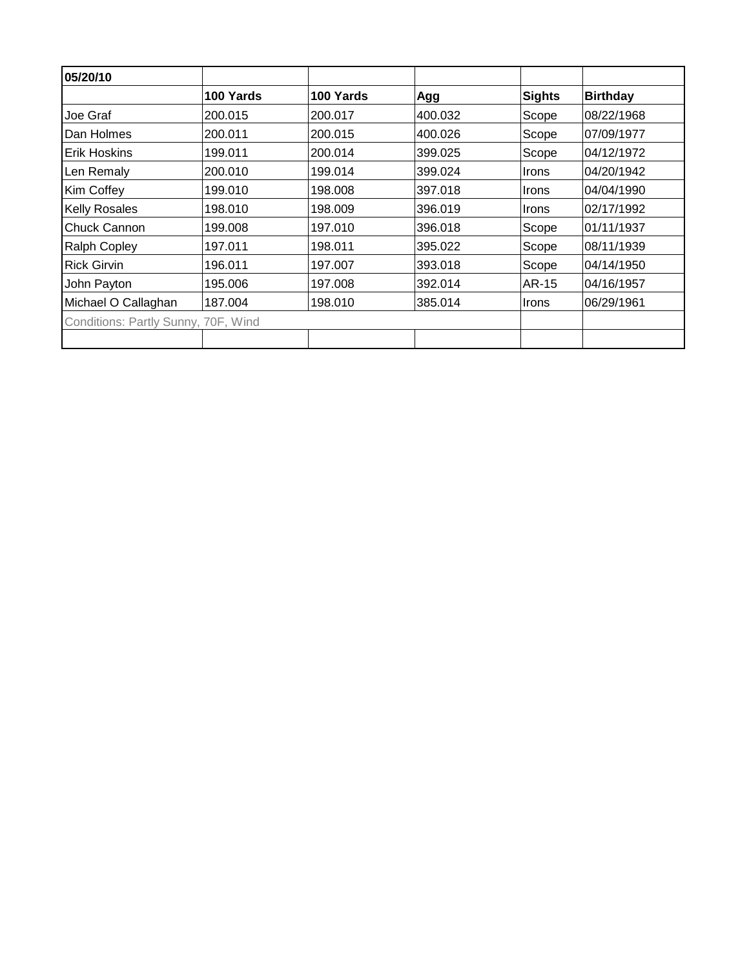| 05/20/10                            |           |           |         |               |                 |
|-------------------------------------|-----------|-----------|---------|---------------|-----------------|
|                                     | 100 Yards | 100 Yards | Agg     | <b>Sights</b> | <b>Birthday</b> |
| Joe Graf                            | 200.015   | 200.017   | 400.032 | Scope         | 08/22/1968      |
| Dan Holmes                          | 200.011   | 200.015   | 400.026 | Scope         | 07/09/1977      |
| <b>Erik Hoskins</b>                 | 199.011   | 200.014   | 399.025 | Scope         | 04/12/1972      |
| Len Remaly                          | 200.010   | 199.014   | 399.024 | <b>Irons</b>  | 04/20/1942      |
| Kim Coffey                          | 199.010   | 198.008   | 397.018 | Irons         | 04/04/1990      |
| <b>Kelly Rosales</b>                | 198.010   | 198.009   | 396.019 | Irons         | 02/17/1992      |
| Chuck Cannon                        | 199.008   | 197.010   | 396.018 | Scope         | 01/11/1937      |
| <b>Ralph Copley</b>                 | 197.011   | 198.011   | 395.022 | Scope         | 08/11/1939      |
| <b>Rick Girvin</b>                  | 196.011   | 197.007   | 393.018 | Scope         | 04/14/1950      |
| John Payton                         | 195.006   | 197.008   | 392.014 | AR-15         | 04/16/1957      |
| Michael O Callaghan                 | 187.004   | 198.010   | 385.014 | Irons         | 06/29/1961      |
| Conditions: Partly Sunny, 70F, Wind |           |           |         |               |                 |
|                                     |           |           |         |               |                 |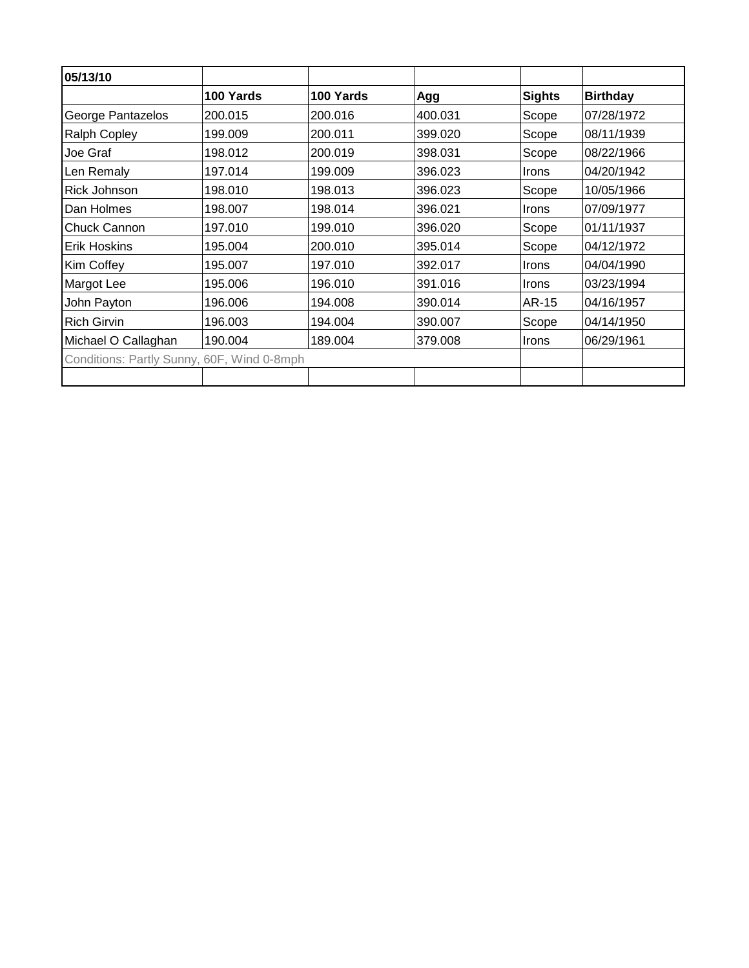| 05/13/10                                   |           |           |         |               |                 |
|--------------------------------------------|-----------|-----------|---------|---------------|-----------------|
|                                            | 100 Yards | 100 Yards | Agg     | <b>Sights</b> | <b>Birthday</b> |
| George Pantazelos                          | 200.015   | 200.016   | 400.031 | Scope         | 07/28/1972      |
| <b>Ralph Copley</b>                        | 199.009   | 200.011   | 399.020 | Scope         | 08/11/1939      |
| Joe Graf                                   | 198.012   | 200.019   | 398.031 | Scope         | 08/22/1966      |
| Len Remaly                                 | 197.014   | 199.009   | 396.023 | <b>Irons</b>  | 04/20/1942      |
| <b>Rick Johnson</b>                        | 198.010   | 198.013   | 396.023 | Scope         | 10/05/1966      |
| Dan Holmes                                 | 198.007   | 198.014   | 396.021 | Irons         | 07/09/1977      |
| IChuck Cannon                              | 197.010   | 199.010   | 396.020 | Scope         | 01/11/1937      |
| <b>Erik Hoskins</b>                        | 195.004   | 200.010   | 395.014 | Scope         | 04/12/1972      |
| Kim Coffey                                 | 195.007   | 197.010   | 392.017 | <b>Irons</b>  | 04/04/1990      |
| Margot Lee                                 | 195.006   | 196.010   | 391.016 | <b>Irons</b>  | 03/23/1994      |
| John Payton                                | 196.006   | 194.008   | 390.014 | AR-15         | 04/16/1957      |
| <b>Rich Girvin</b>                         | 196.003   | 194.004   | 390.007 | Scope         | 04/14/1950      |
| Michael O Callaghan                        | 190.004   | 189.004   | 379.008 | <b>Irons</b>  | 06/29/1961      |
| Conditions: Partly Sunny, 60F, Wind 0-8mph |           |           |         |               |                 |
|                                            |           |           |         |               |                 |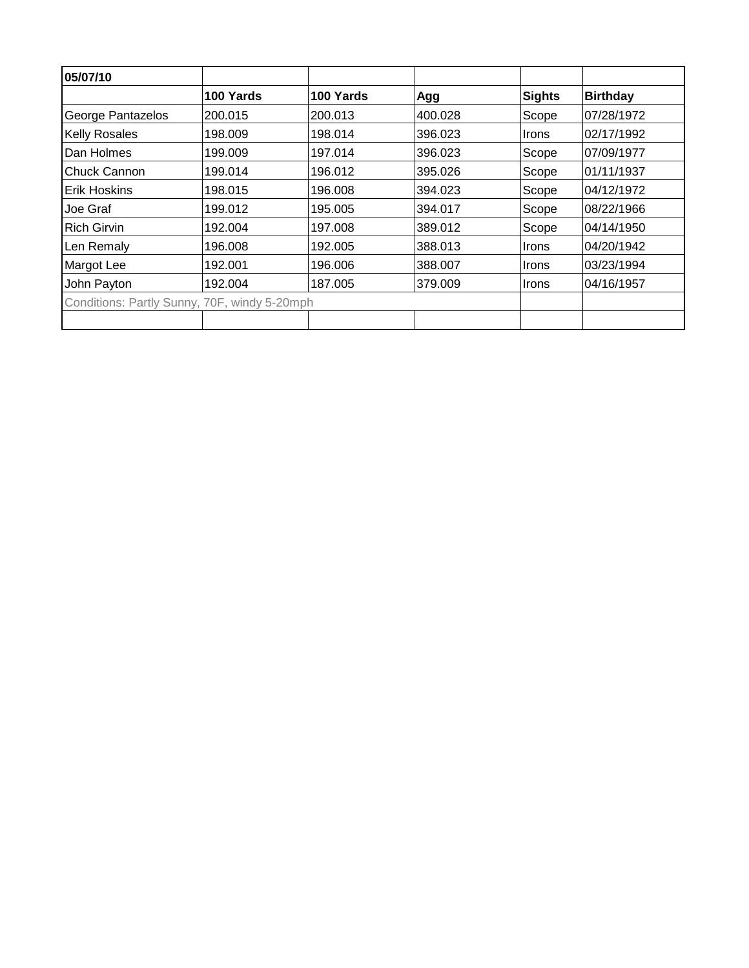| 05/07/10                                     |           |           |         |              |                 |
|----------------------------------------------|-----------|-----------|---------|--------------|-----------------|
|                                              | 100 Yards | 100 Yards | Agg     | Sights       | <b>Birthday</b> |
| George Pantazelos                            | 200.015   | 200.013   | 400.028 | Scope        | 07/28/1972      |
| <b>Kelly Rosales</b>                         | 198,009   | 198.014   | 396.023 | <b>Irons</b> | 02/17/1992      |
| Dan Holmes                                   | 199.009   | 197.014   | 396.023 | Scope        | 107/09/1977     |
| Chuck Cannon                                 | 199.014   | 196.012   | 395.026 | Scope        | 01/11/1937      |
| Erik Hoskins                                 | 198.015   | 196.008   | 394.023 | Scope        | 04/12/1972      |
| Joe Graf                                     | 199.012   | 195.005   | 394.017 | Scope        | 08/22/1966      |
| <b>Rich Girvin</b>                           | 192.004   | 197.008   | 389.012 | Scope        | 04/14/1950      |
| Len Remaly                                   | 196.008   | 192.005   | 388.013 | Irons        | 04/20/1942      |
| Margot Lee                                   | 192.001   | 196.006   | 388,007 | Irons        | 03/23/1994      |
| John Payton                                  | 192.004   | 187.005   | 379.009 | Irons        | 04/16/1957      |
| Conditions: Partly Sunny, 70F, windy 5-20mph |           |           |         |              |                 |
|                                              |           |           |         |              |                 |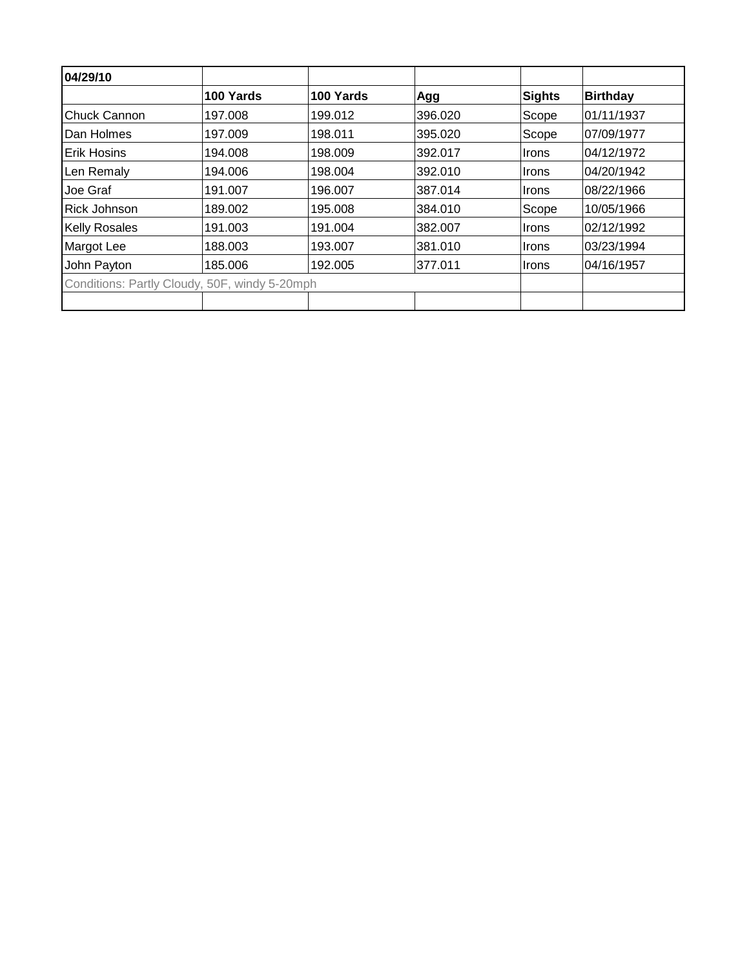| 04/29/10             |                                               |           |         |               |                 |
|----------------------|-----------------------------------------------|-----------|---------|---------------|-----------------|
|                      | 100 Yards                                     | 100 Yards | Agg     | <b>Sights</b> | <b>Birthday</b> |
| <b>Chuck Cannon</b>  | 197.008                                       | 199.012   | 396.020 | Scope         | 01/11/1937      |
| Dan Holmes           | 197.009                                       | 198.011   | 395.020 | Scope         | 07/09/1977      |
| Erik Hosins          | 194.008                                       | 198.009   | 392.017 | Irons         | 04/12/1972      |
| Len Remaly           | 194.006                                       | 198.004   | 392.010 | Irons         | 04/20/1942      |
| Joe Graf             | 191.007                                       | 196.007   | 387.014 | Irons         | 08/22/1966      |
| <b>Rick Johnson</b>  | 189.002                                       | 195.008   | 384.010 | Scope         | 10/05/1966      |
| <b>Kelly Rosales</b> | 191.003                                       | 191.004   | 382.007 | Irons         | 02/12/1992      |
| Margot Lee           | 188.003                                       | 193.007   | 381.010 | Irons         | 03/23/1994      |
| John Payton          | 185.006                                       | 192.005   | 377.011 | Irons         | 04/16/1957      |
|                      | Conditions: Partly Cloudy, 50F, windy 5-20mph |           |         |               |                 |
|                      |                                               |           |         |               |                 |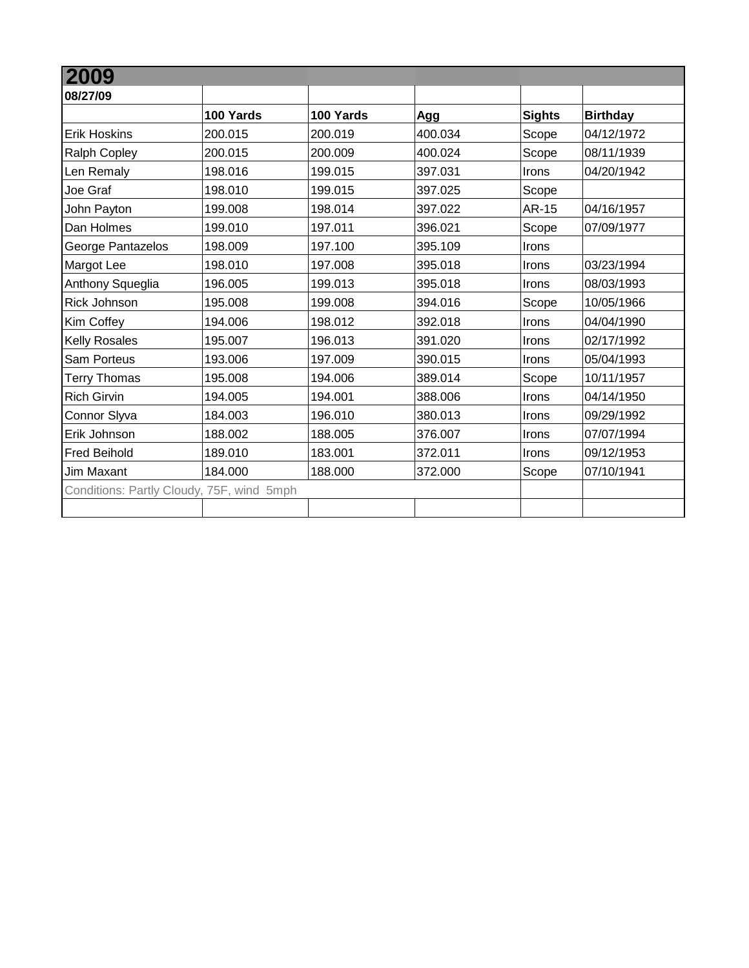| 2009                                      |           |           |         |               |                 |
|-------------------------------------------|-----------|-----------|---------|---------------|-----------------|
| 08/27/09                                  |           |           |         |               |                 |
|                                           | 100 Yards | 100 Yards | Agg     | <b>Sights</b> | <b>Birthday</b> |
| <b>Erik Hoskins</b>                       | 200.015   | 200.019   | 400.034 | Scope         | 04/12/1972      |
| <b>Ralph Copley</b>                       | 200.015   | 200.009   | 400.024 | Scope         | 08/11/1939      |
| Len Remaly                                | 198.016   | 199.015   | 397.031 | Irons         | 04/20/1942      |
| Joe Graf                                  | 198.010   | 199.015   | 397.025 | Scope         |                 |
| John Payton                               | 199.008   | 198.014   | 397.022 | AR-15         | 04/16/1957      |
| Dan Holmes                                | 199.010   | 197.011   | 396.021 | Scope         | 07/09/1977      |
| George Pantazelos                         | 198.009   | 197.100   | 395.109 | Irons         |                 |
| Margot Lee                                | 198.010   | 197.008   | 395.018 | Irons         | 03/23/1994      |
| Anthony Squeglia                          | 196.005   | 199.013   | 395.018 | Irons         | 08/03/1993      |
| <b>Rick Johnson</b>                       | 195.008   | 199.008   | 394.016 | Scope         | 10/05/1966      |
| Kim Coffey                                | 194.006   | 198.012   | 392.018 | Irons         | 04/04/1990      |
| <b>Kelly Rosales</b>                      | 195.007   | 196.013   | 391.020 | Irons         | 02/17/1992      |
| <b>Sam Porteus</b>                        | 193.006   | 197.009   | 390.015 | Irons         | 05/04/1993      |
| <b>Terry Thomas</b>                       | 195.008   | 194.006   | 389.014 | Scope         | 10/11/1957      |
| <b>Rich Girvin</b>                        | 194.005   | 194.001   | 388.006 | Irons         | 04/14/1950      |
| Connor Slyva                              | 184.003   | 196.010   | 380.013 | Irons         | 09/29/1992      |
| Erik Johnson                              | 188.002   | 188.005   | 376.007 | Irons         | 07/07/1994      |
| <b>Fred Beihold</b>                       | 189.010   | 183.001   | 372.011 | Irons         | 09/12/1953      |
| Jim Maxant                                | 184.000   | 188.000   | 372.000 | Scope         | 07/10/1941      |
| Conditions: Partly Cloudy, 75F, wind 5mph |           |           |         |               |                 |
|                                           |           |           |         |               |                 |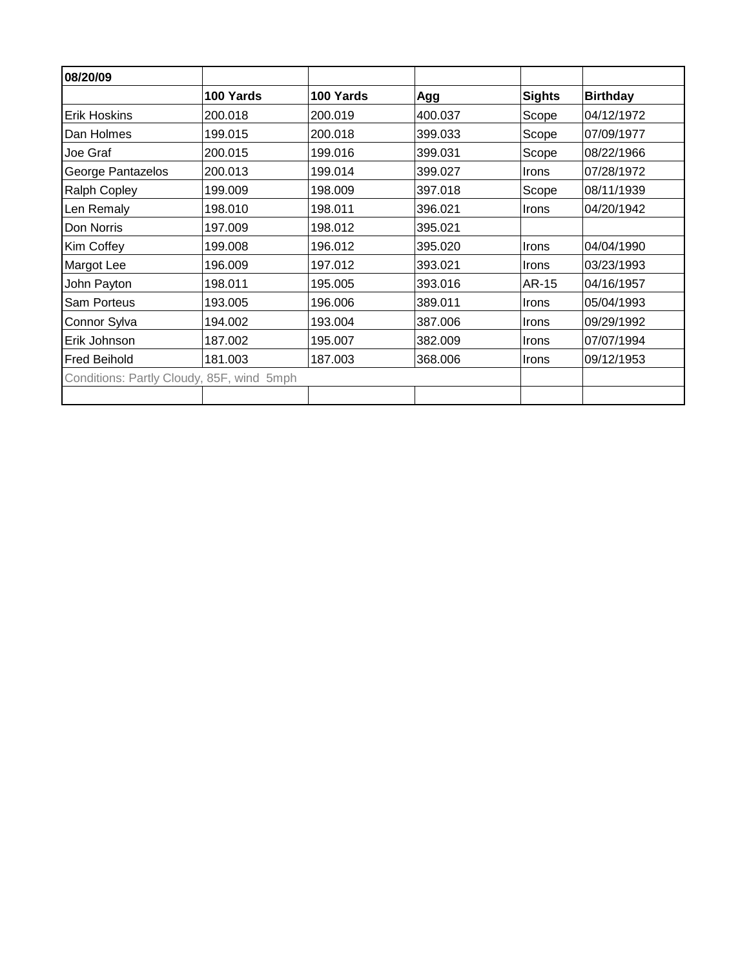| 08/20/09                                  |           |           |         |               |                 |
|-------------------------------------------|-----------|-----------|---------|---------------|-----------------|
|                                           | 100 Yards | 100 Yards | Agg     | <b>Sights</b> | <b>Birthday</b> |
| <b>Erik Hoskins</b>                       | 200.018   | 200.019   | 400.037 | Scope         | 04/12/1972      |
| Dan Holmes                                | 199.015   | 200.018   | 399.033 | Scope         | 07/09/1977      |
| Joe Graf                                  | 200.015   | 199.016   | 399.031 | Scope         | 08/22/1966      |
| George Pantazelos                         | 200.013   | 199.014   | 399.027 | Irons         | 07/28/1972      |
| <b>Ralph Copley</b>                       | 199.009   | 198.009   | 397.018 | Scope         | 08/11/1939      |
| Len Remaly                                | 198.010   | 198.011   | 396.021 | Irons         | 04/20/1942      |
| Don Norris                                | 197.009   | 198.012   | 395.021 |               |                 |
| Kim Coffey                                | 199.008   | 196.012   | 395.020 | Irons         | 04/04/1990      |
| Margot Lee                                | 196.009   | 197.012   | 393.021 | Irons         | 03/23/1993      |
| John Payton                               | 198.011   | 195.005   | 393.016 | AR-15         | 04/16/1957      |
| Sam Porteus                               | 193.005   | 196.006   | 389.011 | Irons         | 05/04/1993      |
| Connor Sylva                              | 194.002   | 193.004   | 387.006 | Irons         | 09/29/1992      |
| Erik Johnson                              | 187.002   | 195.007   | 382.009 | Irons         | 07/07/1994      |
| <b>Fred Beihold</b>                       | 181.003   | 187.003   | 368.006 | Irons         | 09/12/1953      |
| Conditions: Partly Cloudy, 85F, wind 5mph |           |           |         |               |                 |
|                                           |           |           |         |               |                 |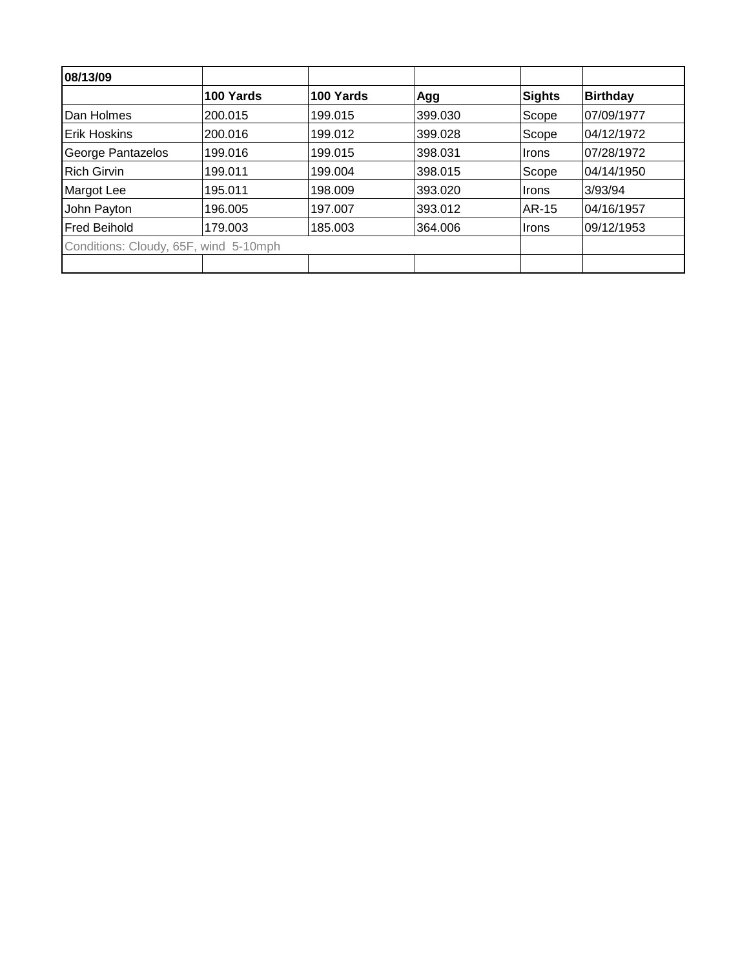| 08/13/09                              |           |           |         |              |                 |
|---------------------------------------|-----------|-----------|---------|--------------|-----------------|
|                                       | 100 Yards | 100 Yards | Agg     | Sights       | <b>Birthday</b> |
| Dan Holmes                            | 200.015   | 199.015   | 399.030 | Scope        | 07/09/1977      |
| <b>Erik Hoskins</b>                   | 200.016   | 199.012   | 399.028 | Scope        | 04/12/1972      |
| George Pantazelos                     | 199.016   | 199.015   | 398.031 | <b>Irons</b> | 07/28/1972      |
| <b>Rich Girvin</b>                    | 199.011   | 199.004   | 398.015 | Scope        | 04/14/1950      |
| Margot Lee                            | 195.011   | 198.009   | 393.020 | ∣Irons       | 3/93/94         |
| John Payton                           | 196.005   | 197.007   | 393.012 | AR-15        | 04/16/1957      |
| <b>Fred Beihold</b>                   | 179.003   | 185.003   | 364.006 | ∣Irons       | 09/12/1953      |
| Conditions: Cloudy, 65F, wind 5-10mph |           |           |         |              |                 |
|                                       |           |           |         |              |                 |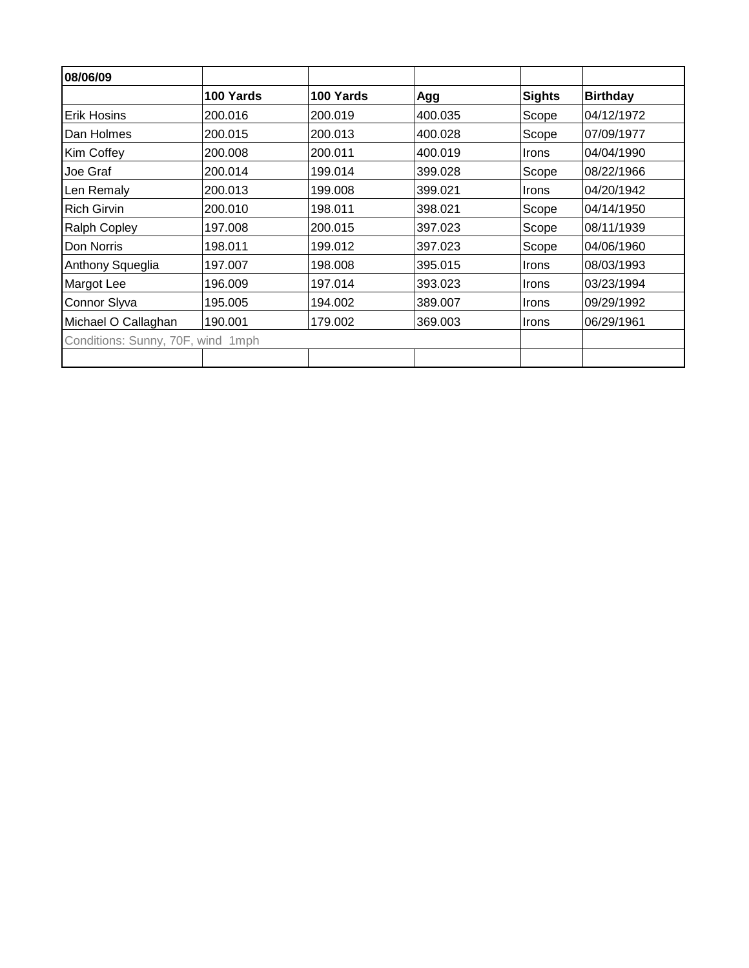| 08/06/09                          |           |           |         |               |                 |
|-----------------------------------|-----------|-----------|---------|---------------|-----------------|
|                                   | 100 Yards | 100 Yards | Agg     | <b>Sights</b> | <b>Birthday</b> |
| <b>Erik Hosins</b>                | 200.016   | 200.019   | 400.035 | Scope         | 04/12/1972      |
| Dan Holmes                        | 200.015   | 200.013   | 400.028 | Scope         | 07/09/1977      |
| Kim Coffey                        | 200.008   | 200.011   | 400.019 | <b>Irons</b>  | 04/04/1990      |
| Joe Graf                          | 200.014   | 199.014   | 399.028 | Scope         | 08/22/1966      |
| Len Remaly                        | 200.013   | 199.008   | 399.021 | <b>Irons</b>  | 04/20/1942      |
| <b>Rich Girvin</b>                | 200.010   | 198.011   | 398.021 | Scope         | 04/14/1950      |
| <b>Ralph Copley</b>               | 197.008   | 200.015   | 397.023 | Scope         | 08/11/1939      |
| Don Norris                        | 198.011   | 199.012   | 397.023 | Scope         | 04/06/1960      |
| Anthony Squeglia                  | 197.007   | 198.008   | 395.015 | <b>Irons</b>  | 08/03/1993      |
| Margot Lee                        | 196.009   | 197.014   | 393.023 | Irons         | 03/23/1994      |
| Connor Slyva                      | 195.005   | 194.002   | 389.007 | <b>Irons</b>  | 09/29/1992      |
| Michael O Callaghan               | 190.001   | 179.002   | 369.003 | <b>Irons</b>  | 06/29/1961      |
| Conditions: Sunny, 70F, wind 1mph |           |           |         |               |                 |
|                                   |           |           |         |               |                 |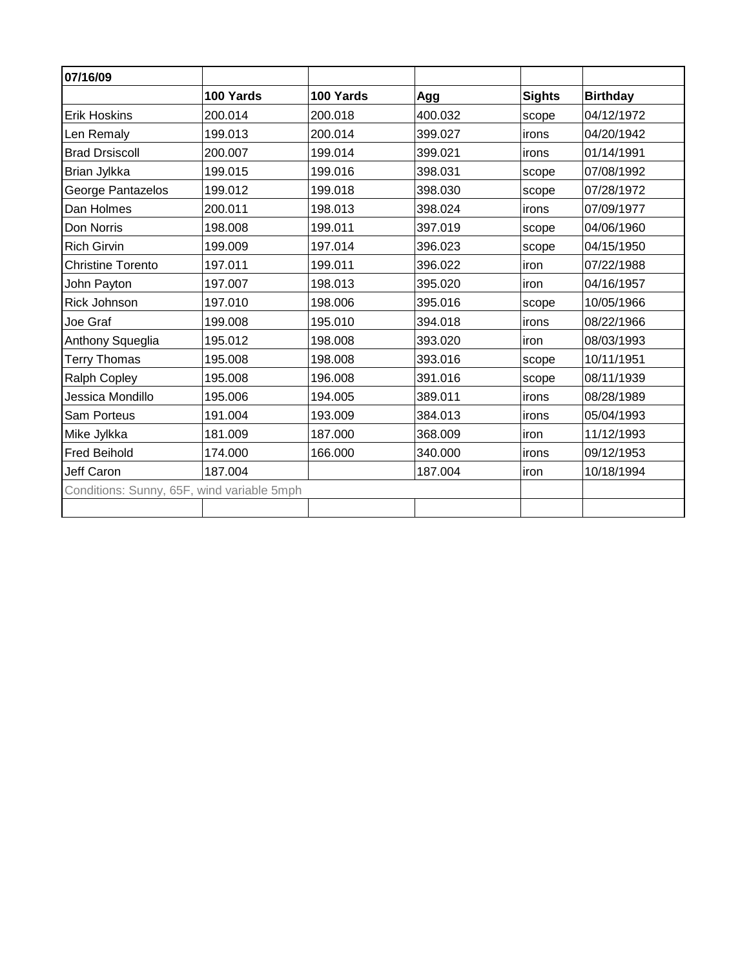| 07/16/09                                   |           |           |         |               |                 |
|--------------------------------------------|-----------|-----------|---------|---------------|-----------------|
|                                            | 100 Yards | 100 Yards | Agg     | <b>Sights</b> | <b>Birthday</b> |
| <b>Erik Hoskins</b>                        | 200.014   | 200.018   | 400.032 | scope         | 04/12/1972      |
| Len Remaly                                 | 199.013   | 200.014   | 399.027 | irons         | 04/20/1942      |
| <b>Brad Drsiscoll</b>                      | 200.007   | 199.014   | 399.021 | irons         | 01/14/1991      |
| Brian Jylkka                               | 199.015   | 199.016   | 398.031 | scope         | 07/08/1992      |
| George Pantazelos                          | 199.012   | 199.018   | 398.030 | scope         | 07/28/1972      |
| Dan Holmes                                 | 200.011   | 198.013   | 398.024 | irons         | 07/09/1977      |
| Don Norris                                 | 198.008   | 199.011   | 397.019 | scope         | 04/06/1960      |
| <b>Rich Girvin</b>                         | 199.009   | 197.014   | 396.023 | scope         | 04/15/1950      |
| <b>Christine Torento</b>                   | 197.011   | 199.011   | 396.022 | iron          | 07/22/1988      |
| John Payton                                | 197.007   | 198.013   | 395.020 | iron          | 04/16/1957      |
| <b>Rick Johnson</b>                        | 197.010   | 198.006   | 395.016 | scope         | 10/05/1966      |
| Joe Graf                                   | 199.008   | 195.010   | 394.018 | irons         | 08/22/1966      |
| Anthony Squeglia                           | 195.012   | 198.008   | 393.020 | iron          | 08/03/1993      |
| <b>Terry Thomas</b>                        | 195.008   | 198.008   | 393.016 | scope         | 10/11/1951      |
| Ralph Copley                               | 195.008   | 196.008   | 391.016 | scope         | 08/11/1939      |
| Jessica Mondillo                           | 195.006   | 194.005   | 389.011 | irons         | 08/28/1989      |
| <b>Sam Porteus</b>                         | 191.004   | 193.009   | 384.013 | irons         | 05/04/1993      |
| Mike Jylkka                                | 181.009   | 187.000   | 368.009 | iron          | 11/12/1993      |
| <b>Fred Beihold</b>                        | 174.000   | 166.000   | 340.000 | irons         | 09/12/1953      |
| Jeff Caron                                 | 187.004   |           | 187.004 | iron          | 10/18/1994      |
| Conditions: Sunny, 65F, wind variable 5mph |           |           |         |               |                 |
|                                            |           |           |         |               |                 |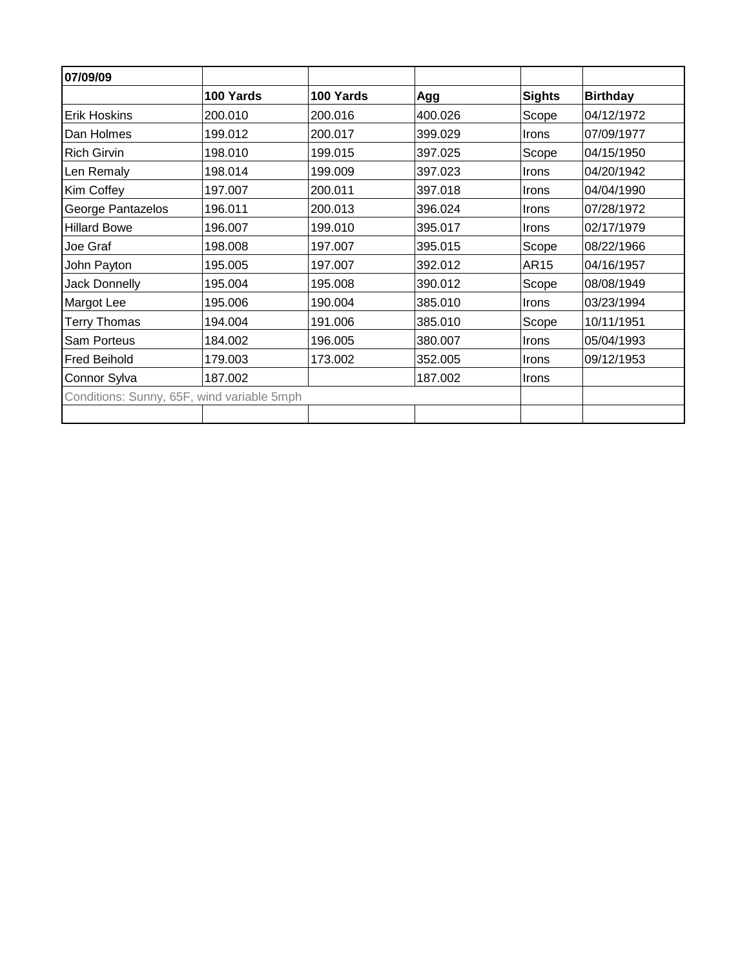| 07/09/09                                   |           |           |         |               |                 |
|--------------------------------------------|-----------|-----------|---------|---------------|-----------------|
|                                            | 100 Yards | 100 Yards | Agg     | <b>Sights</b> | <b>Birthday</b> |
| <b>Erik Hoskins</b>                        | 200.010   | 200.016   | 400.026 | Scope         | 04/12/1972      |
| Dan Holmes                                 | 199.012   | 200.017   | 399.029 | Irons         | 07/09/1977      |
| <b>Rich Girvin</b>                         | 198.010   | 199.015   | 397.025 | Scope         | 04/15/1950      |
| Len Remaly                                 | 198.014   | 199.009   | 397.023 | Irons         | 04/20/1942      |
| Kim Coffey                                 | 197.007   | 200.011   | 397.018 | Irons         | 04/04/1990      |
| George Pantazelos                          | 196.011   | 200.013   | 396.024 | Irons         | 07/28/1972      |
| <b>Hillard Bowe</b>                        | 196.007   | 199.010   | 395.017 | Irons         | 02/17/1979      |
| Joe Graf                                   | 198.008   | 197.007   | 395.015 | Scope         | 08/22/1966      |
| John Payton                                | 195.005   | 197.007   | 392.012 | <b>AR15</b>   | 04/16/1957      |
| Jack Donnelly                              | 195.004   | 195.008   | 390.012 | Scope         | 08/08/1949      |
| Margot Lee                                 | 195.006   | 190.004   | 385.010 | Irons         | 03/23/1994      |
| <b>Terry Thomas</b>                        | 194.004   | 191.006   | 385.010 | Scope         | 10/11/1951      |
| <b>Sam Porteus</b>                         | 184.002   | 196.005   | 380.007 | Irons         | 05/04/1993      |
| <b>Fred Beihold</b>                        | 179.003   | 173.002   | 352.005 | Irons         | 09/12/1953      |
| Connor Sylva                               | 187.002   |           | 187.002 | <b>Irons</b>  |                 |
| Conditions: Sunny, 65F, wind variable 5mph |           |           |         |               |                 |
|                                            |           |           |         |               |                 |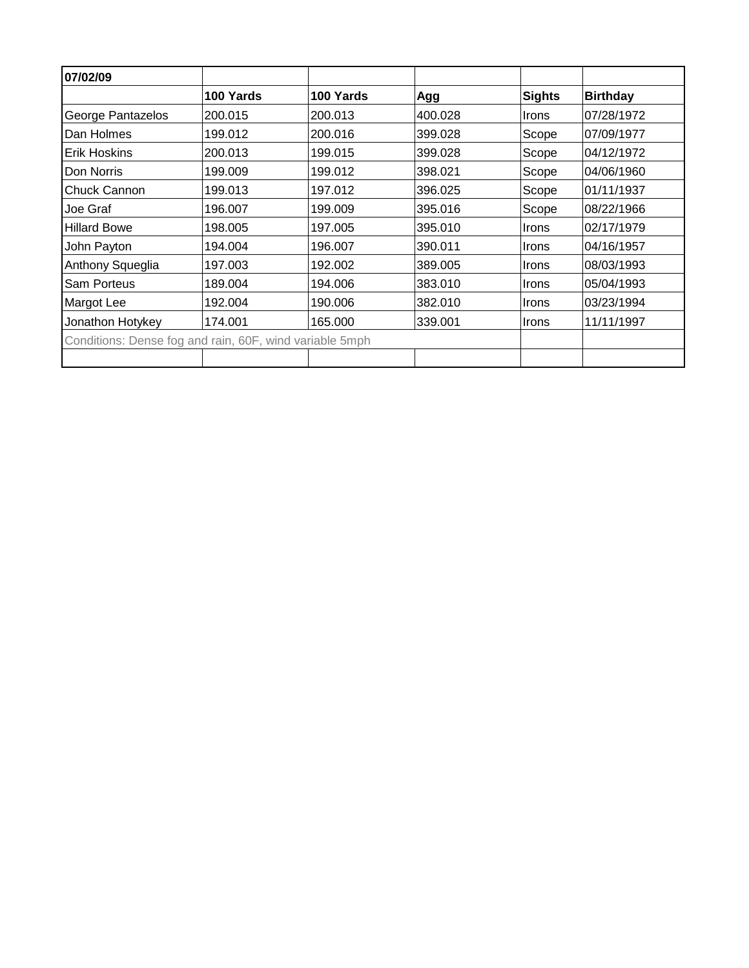| 07/02/09                                                |           |           |         |               |                 |
|---------------------------------------------------------|-----------|-----------|---------|---------------|-----------------|
|                                                         | 100 Yards | 100 Yards | Agg     | <b>Sights</b> | <b>Birthday</b> |
| George Pantazelos                                       | 200.015   | 200.013   | 400.028 | <b>Irons</b>  | 07/28/1972      |
| Dan Holmes                                              | 199.012   | 200.016   | 399.028 | Scope         | 07/09/1977      |
| Erik Hoskins                                            | 200.013   | 199.015   | 399.028 | Scope         | 04/12/1972      |
| Don Norris                                              | 199.009   | 199.012   | 398.021 | Scope         | 04/06/1960      |
| <b>Chuck Cannon</b>                                     | 199.013   | 197.012   | 396.025 | Scope         | 01/11/1937      |
| Joe Graf                                                | 196.007   | 199.009   | 395.016 | Scope         | 08/22/1966      |
| <b>Hillard Bowe</b>                                     | 198.005   | 197.005   | 395.010 | Irons         | 02/17/1979      |
| John Payton                                             | 194.004   | 196.007   | 390.011 | Irons         | 04/16/1957      |
| Anthony Squeglia                                        | 197.003   | 192.002   | 389,005 | <b>Irons</b>  | 08/03/1993      |
| Sam Porteus                                             | 189.004   | 194.006   | 383.010 | Irons         | 05/04/1993      |
| Margot Lee                                              | 192.004   | 190.006   | 382.010 | <b>Irons</b>  | 03/23/1994      |
| Jonathon Hotykey                                        | 174.001   | 165,000   | 339,001 | Irons         | 11/11/1997      |
| Conditions: Dense fog and rain, 60F, wind variable 5mph |           |           |         |               |                 |
|                                                         |           |           |         |               |                 |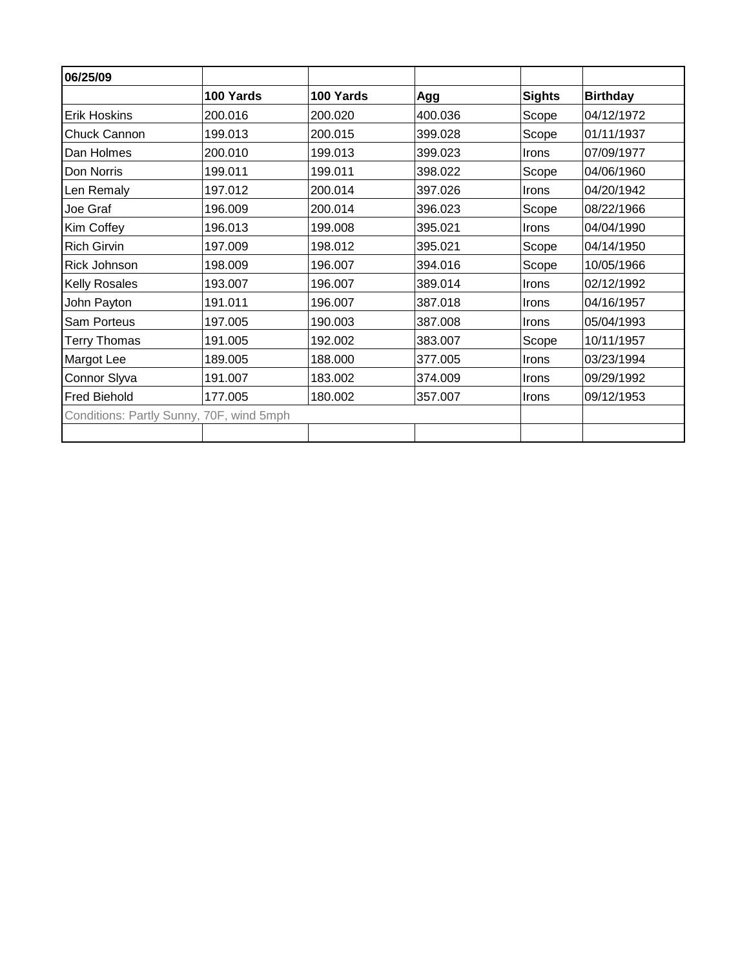| 06/25/09                                 |           |           |         |               |                 |
|------------------------------------------|-----------|-----------|---------|---------------|-----------------|
|                                          | 100 Yards | 100 Yards | Agg     | <b>Sights</b> | <b>Birthday</b> |
| <b>Erik Hoskins</b>                      | 200.016   | 200.020   | 400.036 | Scope         | 04/12/1972      |
| Chuck Cannon                             | 199.013   | 200.015   | 399.028 | Scope         | 01/11/1937      |
| Dan Holmes                               | 200.010   | 199.013   | 399.023 | <b>Irons</b>  | 07/09/1977      |
| Don Norris                               | 199.011   | 199.011   | 398.022 | Scope         | 04/06/1960      |
| Len Remaly                               | 197.012   | 200.014   | 397.026 | <b>Irons</b>  | 04/20/1942      |
| Joe Graf                                 | 196.009   | 200.014   | 396.023 | Scope         | 08/22/1966      |
| Kim Coffey                               | 196.013   | 199.008   | 395.021 | Irons         | 04/04/1990      |
| <b>Rich Girvin</b>                       | 197.009   | 198.012   | 395.021 | Scope         | 04/14/1950      |
| <b>Rick Johnson</b>                      | 198.009   | 196.007   | 394.016 | Scope         | 10/05/1966      |
| <b>Kelly Rosales</b>                     | 193.007   | 196.007   | 389.014 | <b>Irons</b>  | 02/12/1992      |
| John Payton                              | 191.011   | 196.007   | 387.018 | Irons         | 04/16/1957      |
| <b>Sam Porteus</b>                       | 197.005   | 190.003   | 387.008 | Irons         | 05/04/1993      |
| <b>Terry Thomas</b>                      | 191.005   | 192.002   | 383.007 | Scope         | 10/11/1957      |
| Margot Lee                               | 189.005   | 188.000   | 377.005 | <b>Irons</b>  | 03/23/1994      |
| Connor Slyva                             | 191.007   | 183.002   | 374.009 | Irons         | 09/29/1992      |
| <b>Fred Biehold</b>                      | 177.005   | 180.002   | 357.007 | Irons         | 09/12/1953      |
| Conditions: Partly Sunny, 70F, wind 5mph |           |           |         |               |                 |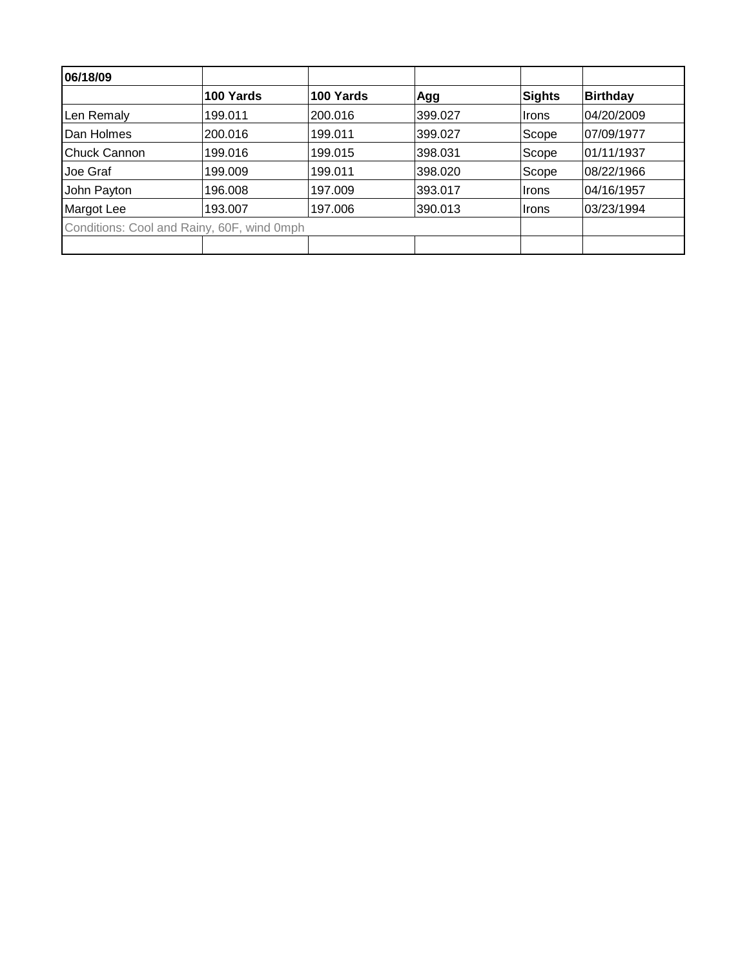| 06/18/09                                   |           |           |         |        |                 |
|--------------------------------------------|-----------|-----------|---------|--------|-----------------|
|                                            | 100 Yards | 100 Yards | Agg     | Sights | <b>Birthday</b> |
| Len Remaly                                 | 199.011   | 200.016   | 399.027 | Irons  | 04/20/2009      |
| Dan Holmes                                 | 200.016   | 199.011   | 399.027 | Scope  | 07/09/1977      |
| <b>Chuck Cannon</b>                        | 199.016   | 199.015   | 398.031 | Scope  | 01/11/1937      |
| Joe Graf                                   | 199.009   | 199.011   | 398.020 | Scope  | 08/22/1966      |
| John Payton                                | 196.008   | 197.009   | 393.017 | Irons  | 04/16/1957      |
| Margot Lee                                 | 193.007   | 197.006   | 390.013 | ∣Irons | 03/23/1994      |
| Conditions: Cool and Rainy, 60F, wind 0mph |           |           |         |        |                 |
|                                            |           |           |         |        |                 |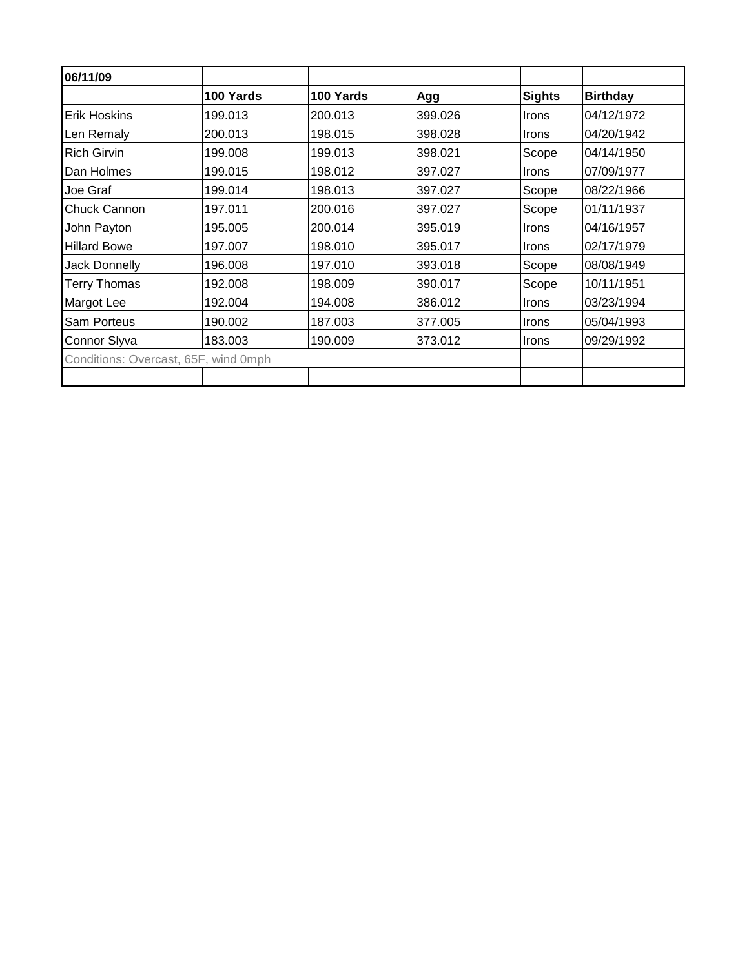| 06/11/09                             |           |           |         |               |                 |
|--------------------------------------|-----------|-----------|---------|---------------|-----------------|
|                                      | 100 Yards | 100 Yards | Agg     | <b>Sights</b> | <b>Birthday</b> |
| <b>Erik Hoskins</b>                  | 199.013   | 200.013   | 399.026 | Irons         | 04/12/1972      |
| Len Remaly                           | 200.013   | 198.015   | 398.028 | <b>Irons</b>  | 04/20/1942      |
| <b>Rich Girvin</b>                   | 199.008   | 199.013   | 398.021 | Scope         | 04/14/1950      |
| Dan Holmes                           | 199.015   | 198.012   | 397.027 | Irons         | 07/09/1977      |
| Joe Graf                             | 199.014   | 198.013   | 397.027 | Scope         | 08/22/1966      |
| Chuck Cannon                         | 197.011   | 200.016   | 397.027 | Scope         | 01/11/1937      |
| John Payton                          | 195.005   | 200.014   | 395.019 | Irons         | 04/16/1957      |
| <b>Hillard Bowe</b>                  | 197.007   | 198.010   | 395.017 | <b>Irons</b>  | 02/17/1979      |
| <b>Jack Donnelly</b>                 | 196.008   | 197.010   | 393.018 | Scope         | 08/08/1949      |
| <b>Terry Thomas</b>                  | 192.008   | 198.009   | 390.017 | Scope         | 10/11/1951      |
| Margot Lee                           | 192.004   | 194.008   | 386.012 | Irons         | 03/23/1994      |
| <b>Sam Porteus</b>                   | 190.002   | 187.003   | 377.005 | Irons         | 05/04/1993      |
| Connor Slyva                         | 183.003   | 190.009   | 373.012 | <b>Irons</b>  | 09/29/1992      |
| Conditions: Overcast, 65F, wind 0mph |           |           |         |               |                 |
|                                      |           |           |         |               |                 |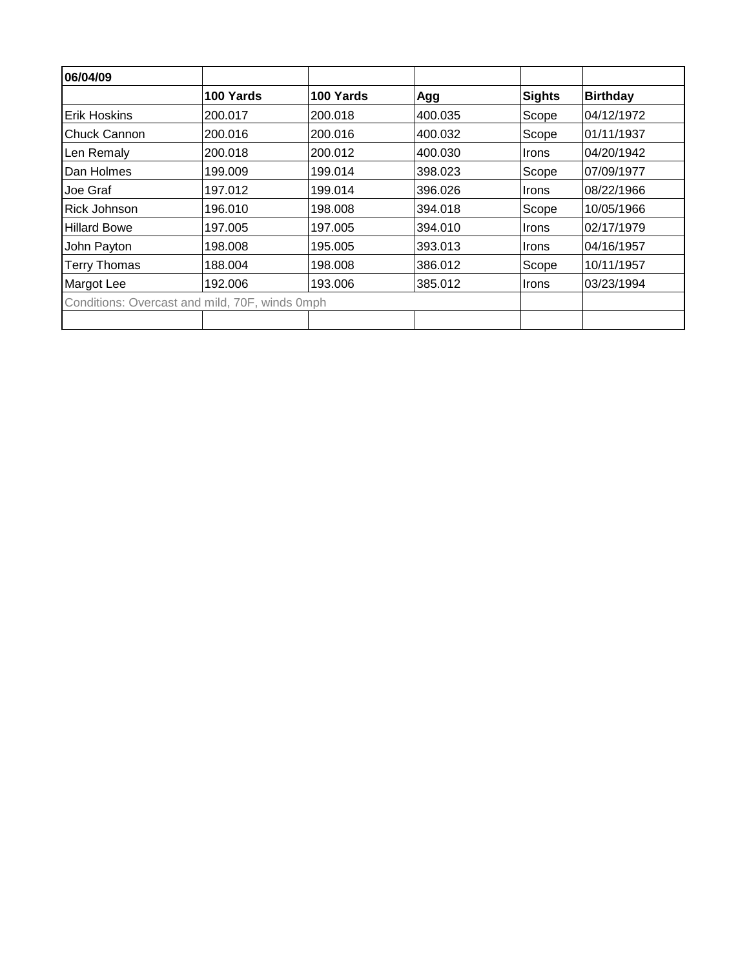| 06/04/09            |                                                |           |         |               |                 |
|---------------------|------------------------------------------------|-----------|---------|---------------|-----------------|
|                     | 100 Yards                                      | 100 Yards | Agg     | <b>Sights</b> | <b>Birthday</b> |
| <b>Erik Hoskins</b> | 200.017                                        | 200.018   | 400.035 | Scope         | 04/12/1972      |
| Chuck Cannon        | 200.016                                        | 200.016   | 400.032 | Scope         | 101/11/1937     |
| Len Remaly          | 200.018                                        | 200.012   | 400.030 | Irons         | 104/20/1942     |
| Dan Holmes          | 199.009                                        | 199.014   | 398.023 | Scope         | 07/09/1977      |
| Joe Graf            | 197.012                                        | 199.014   | 396.026 | <b>Irons</b>  | 08/22/1966      |
| <b>Rick Johnson</b> | 196.010                                        | 198.008   | 394.018 | Scope         | 10/05/1966      |
| <b>Hillard Bowe</b> | 197.005                                        | 197.005   | 394.010 | <b>Irons</b>  | 02/17/1979      |
| John Payton         | 198.008                                        | 195.005   | 393.013 | Irons         | 04/16/1957      |
| <b>Terry Thomas</b> | 188.004                                        | 198.008   | 386.012 | Scope         | 10/11/1957      |
| Margot Lee          | 192.006                                        | 193.006   | 385.012 | Irons         | 03/23/1994      |
|                     | Conditions: Overcast and mild, 70F, winds 0mph |           |         |               |                 |
|                     |                                                |           |         |               |                 |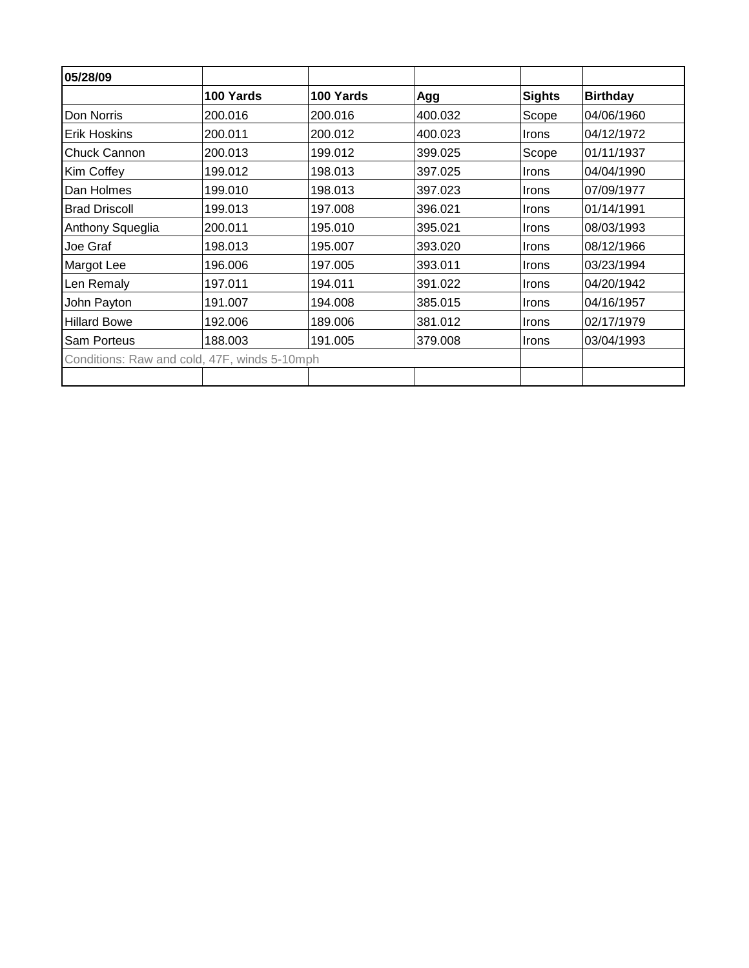| 05/28/09                                     |           |           |         |               |                 |
|----------------------------------------------|-----------|-----------|---------|---------------|-----------------|
|                                              | 100 Yards | 100 Yards | Agg     | <b>Sights</b> | <b>Birthday</b> |
| Don Norris                                   | 200.016   | 200.016   | 400.032 | Scope         | 04/06/1960      |
| <b>Erik Hoskins</b>                          | 200.011   | 200.012   | 400.023 | <b>Irons</b>  | 04/12/1972      |
| <b>Chuck Cannon</b>                          | 200.013   | 199.012   | 399.025 | Scope         | 01/11/1937      |
| Kim Coffey                                   | 199.012   | 198.013   | 397.025 | <b>Irons</b>  | 04/04/1990      |
| Dan Holmes                                   | 199.010   | 198.013   | 397.023 | <b>Irons</b>  | 07/09/1977      |
| <b>Brad Driscoll</b>                         | 199.013   | 197.008   | 396.021 | <b>Irons</b>  | 01/14/1991      |
| Anthony Squeglia                             | 200.011   | 195.010   | 395.021 | <b>Irons</b>  | 08/03/1993      |
| Joe Graf                                     | 198.013   | 195.007   | 393.020 | <b>Irons</b>  | 08/12/1966      |
| Margot Lee                                   | 196.006   | 197.005   | 393.011 | <b>Irons</b>  | 03/23/1994      |
| Len Remaly                                   | 197.011   | 194.011   | 391.022 | <b>Irons</b>  | 04/20/1942      |
| John Payton                                  | 191.007   | 194.008   | 385.015 | <b>Irons</b>  | 04/16/1957      |
| <b>Hillard Bowe</b>                          | 192.006   | 189.006   | 381.012 | <b>Irons</b>  | 02/17/1979      |
| <b>Sam Porteus</b>                           | 188.003   | 191.005   | 379.008 | Irons         | 03/04/1993      |
| Conditions: Raw and cold, 47F, winds 5-10mph |           |           |         |               |                 |
|                                              |           |           |         |               |                 |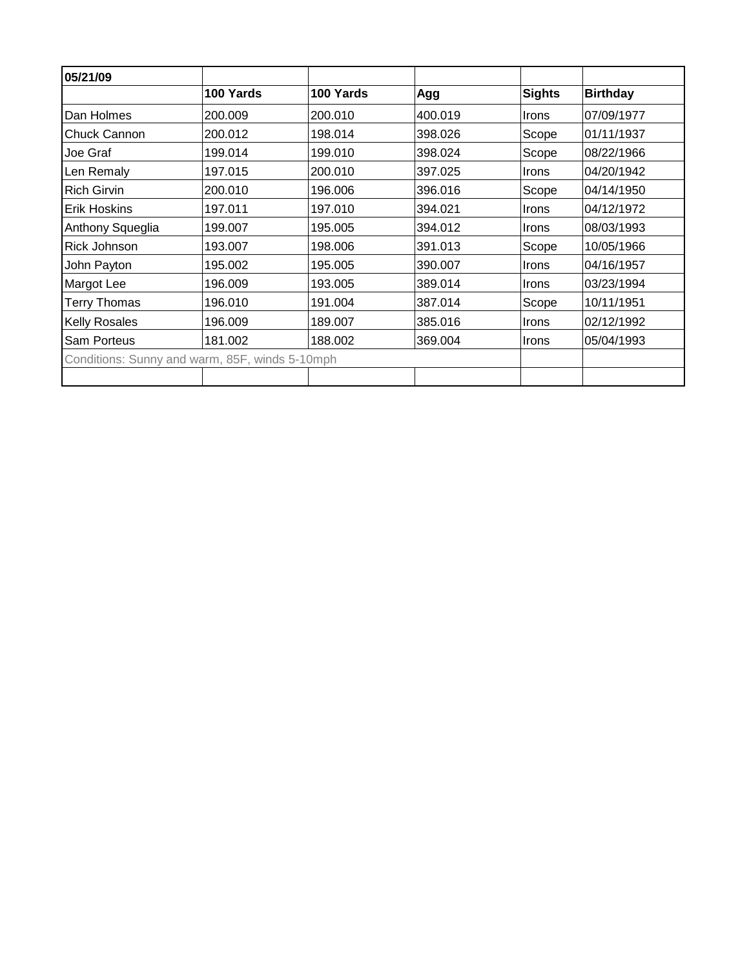| 05/21/09                                       |           |           |         |               |                 |
|------------------------------------------------|-----------|-----------|---------|---------------|-----------------|
|                                                | 100 Yards | 100 Yards | Agg     | <b>Sights</b> | <b>Birthday</b> |
| Dan Holmes                                     | 200.009   | 200.010   | 400.019 | <b>Irons</b>  | 07/09/1977      |
| <b>Chuck Cannon</b>                            | 200.012   | 198.014   | 398.026 | Scope         | 01/11/1937      |
| Joe Graf                                       | 199.014   | 199.010   | 398.024 | Scope         | 08/22/1966      |
| Len Remaly                                     | 197.015   | 200.010   | 397.025 | <b>Irons</b>  | 04/20/1942      |
| <b>Rich Girvin</b>                             | 200.010   | 196,006   | 396.016 | Scope         | 04/14/1950      |
| <b>Erik Hoskins</b>                            | 197.011   | 197.010   | 394.021 | <b>Irons</b>  | 04/12/1972      |
| Anthony Squeglia                               | 199.007   | 195.005   | 394.012 | <b>Irons</b>  | 08/03/1993      |
| Rick Johnson                                   | 193.007   | 198.006   | 391.013 | Scope         | 10/05/1966      |
| John Payton                                    | 195.002   | 195.005   | 390.007 | <b>Irons</b>  | 04/16/1957      |
| Margot Lee                                     | 196.009   | 193.005   | 389.014 | <b>Irons</b>  | 03/23/1994      |
| <b>Terry Thomas</b>                            | 196.010   | 191.004   | 387.014 | Scope         | 10/11/1951      |
| <b>Kelly Rosales</b>                           | 196.009   | 189.007   | 385.016 | <b>Irons</b>  | 02/12/1992      |
| <b>Sam Porteus</b>                             | 181.002   | 188.002   | 369.004 | Irons         | 05/04/1993      |
| Conditions: Sunny and warm, 85F, winds 5-10mph |           |           |         |               |                 |
|                                                |           |           |         |               |                 |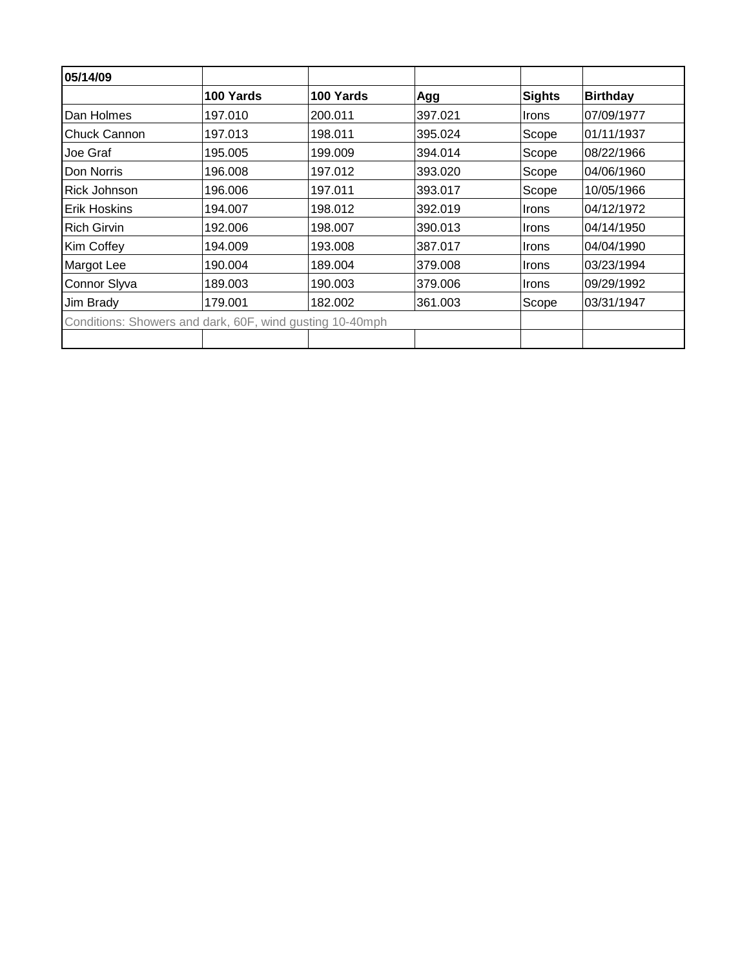| 05/14/09            |                                                          |           |         |               |                 |
|---------------------|----------------------------------------------------------|-----------|---------|---------------|-----------------|
|                     | 100 Yards                                                | 100 Yards | Agg     | <b>Sights</b> | <b>Birthday</b> |
| Dan Holmes          | 197.010                                                  | 200.011   | 397.021 | <b>Irons</b>  | 07/09/1977      |
| IChuck Cannon       | 197.013                                                  | 198.011   | 395.024 | Scope         | 01/11/1937      |
| Joe Graf            | 195.005                                                  | 199.009   | 394.014 | Scope         | 08/22/1966      |
| Don Norris          | 196.008                                                  | 197.012   | 393.020 | Scope         | 04/06/1960      |
| <b>Rick Johnson</b> | 196.006                                                  | 197.011   | 393.017 | Scope         | 10/05/1966      |
| <b>Erik Hoskins</b> | 194.007                                                  | 198.012   | 392.019 | Irons         | 04/12/1972      |
| <b>Rich Girvin</b>  | 192.006                                                  | 198.007   | 390.013 | Irons         | 04/14/1950      |
| Kim Coffey          | 194.009                                                  | 193.008   | 387.017 | Irons         | 04/04/1990      |
| Margot Lee          | 190.004                                                  | 189.004   | 379.008 | Irons         | 03/23/1994      |
| Connor Slyva        | 189.003                                                  | 190.003   | 379.006 | <b>Irons</b>  | 09/29/1992      |
| Jim Brady           | 179.001                                                  | 182.002   | 361.003 | Scope         | 03/31/1947      |
|                     | Conditions: Showers and dark, 60F, wind gusting 10-40mph |           |         |               |                 |
|                     |                                                          |           |         |               |                 |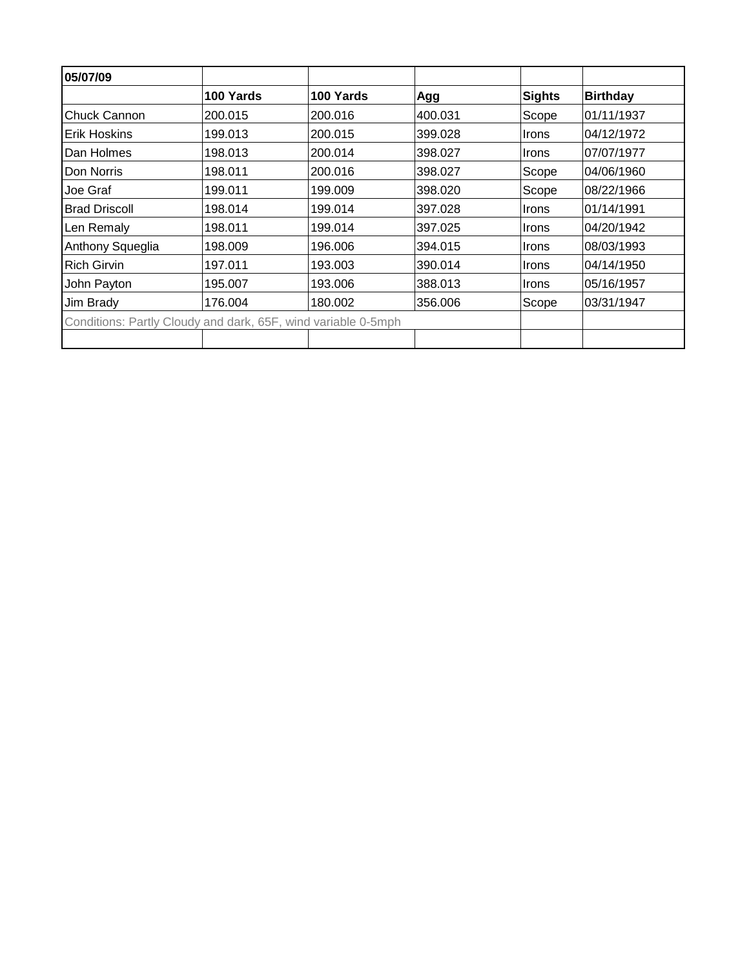| 05/07/09                                                      |           |           |         |               |                 |
|---------------------------------------------------------------|-----------|-----------|---------|---------------|-----------------|
|                                                               | 100 Yards | 100 Yards | Agg     | <b>Sights</b> | <b>Birthday</b> |
| Chuck Cannon                                                  | 200.015   | 200.016   | 400.031 | Scope         | 01/11/1937      |
| <b>Erik Hoskins</b>                                           | 199.013   | 200.015   | 399.028 | Irons         | 04/12/1972      |
| Dan Holmes                                                    | 198.013   | 200.014   | 398.027 | Irons         | 07/07/1977      |
| Don Norris                                                    | 198.011   | 200.016   | 398.027 | Scope         | 04/06/1960      |
| Joe Graf                                                      | 199.011   | 199.009   | 398.020 | Scope         | 08/22/1966      |
| <b>Brad Driscoll</b>                                          | 198.014   | 199.014   | 397.028 | Irons         | 01/14/1991      |
| Len Remaly                                                    | 198.011   | 199.014   | 397.025 | Irons         | 04/20/1942      |
| Anthony Squeglia                                              | 198.009   | 196.006   | 394.015 | Irons         | 08/03/1993      |
| <b>Rich Girvin</b>                                            | 197.011   | 193.003   | 390.014 | Irons         | 04/14/1950      |
| John Payton                                                   | 195.007   | 193.006   | 388.013 | <b>Irons</b>  | 05/16/1957      |
| Jim Brady                                                     | 176.004   | 180.002   | 356,006 | Scope         | 03/31/1947      |
| Conditions: Partly Cloudy and dark, 65F, wind variable 0-5mph |           |           |         |               |                 |
|                                                               |           |           |         |               |                 |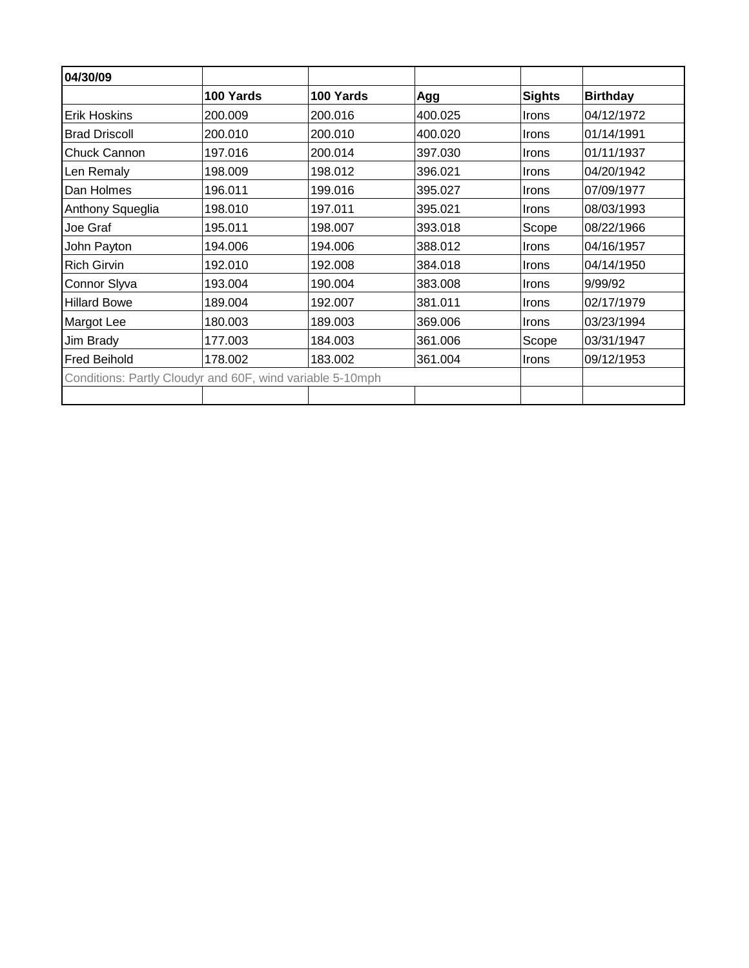| 04/30/09                                                  |           |           |         |               |                 |
|-----------------------------------------------------------|-----------|-----------|---------|---------------|-----------------|
|                                                           | 100 Yards | 100 Yards | Agg     | <b>Sights</b> | <b>Birthday</b> |
| <b>Erik Hoskins</b>                                       | 200.009   | 200.016   | 400.025 | Irons         | 04/12/1972      |
| <b>Brad Driscoll</b>                                      | 200.010   | 200.010   | 400.020 | <b>Irons</b>  | 01/14/1991      |
| Chuck Cannon                                              | 197.016   | 200.014   | 397.030 | <b>Irons</b>  | 01/11/1937      |
| Len Remaly                                                | 198.009   | 198.012   | 396.021 | <b>Irons</b>  | 04/20/1942      |
| Dan Holmes                                                | 196.011   | 199.016   | 395.027 | <b>Irons</b>  | 07/09/1977      |
| Anthony Squeglia                                          | 198.010   | 197.011   | 395.021 | Irons         | 08/03/1993      |
| Joe Graf                                                  | 195.011   | 198.007   | 393.018 | Scope         | 08/22/1966      |
| John Payton                                               | 194.006   | 194.006   | 388.012 | Irons         | 04/16/1957      |
| <b>Rich Girvin</b>                                        | 192.010   | 192.008   | 384.018 | Irons         | 04/14/1950      |
| Connor Slyva                                              | 193.004   | 190.004   | 383.008 | <b>Irons</b>  | 9/99/92         |
| <b>Hillard Bowe</b>                                       | 189.004   | 192.007   | 381.011 | Irons         | 02/17/1979      |
| Margot Lee                                                | 180.003   | 189.003   | 369.006 | <b>Irons</b>  | 03/23/1994      |
| Jim Brady                                                 | 177.003   | 184.003   | 361.006 | Scope         | 03/31/1947      |
| <b>Fred Beihold</b>                                       | 178.002   | 183.002   | 361.004 | <b>Irons</b>  | 09/12/1953      |
| Conditions: Partly Cloudyr and 60F, wind variable 5-10mph |           |           |         |               |                 |
|                                                           |           |           |         |               |                 |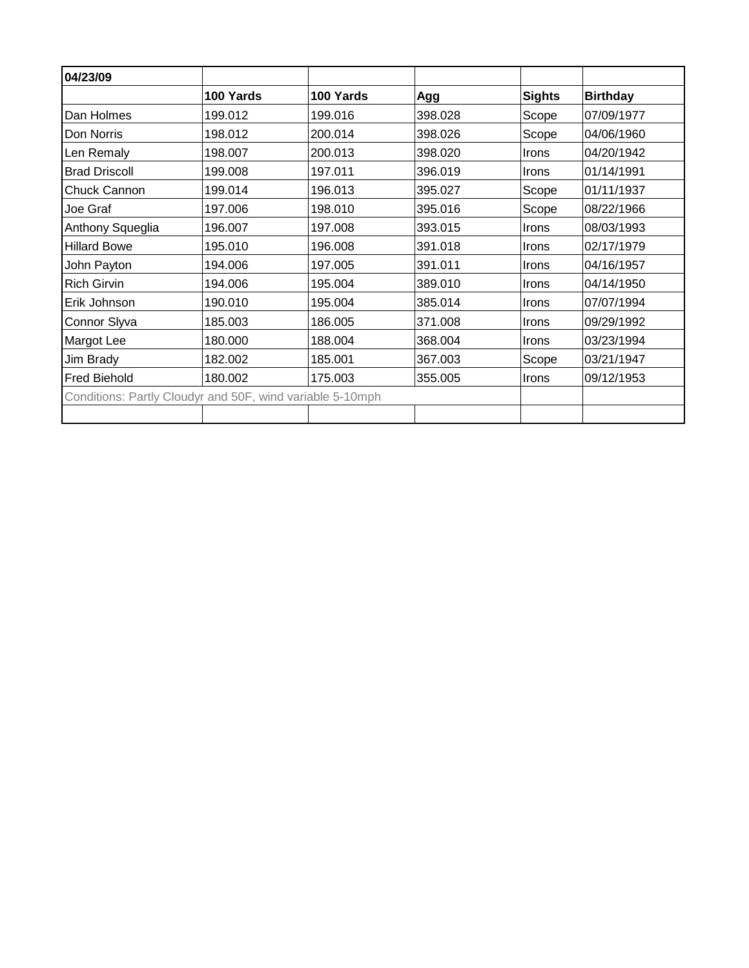| 04/23/09                                                  |           |           |         |               |                 |
|-----------------------------------------------------------|-----------|-----------|---------|---------------|-----------------|
|                                                           | 100 Yards | 100 Yards | Agg     | <b>Sights</b> | <b>Birthday</b> |
| Dan Holmes                                                | 199.012   | 199.016   | 398.028 | Scope         | 07/09/1977      |
| Don Norris                                                | 198.012   | 200.014   | 398.026 | Scope         | 04/06/1960      |
| Len Remaly                                                | 198.007   | 200.013   | 398.020 | <b>Irons</b>  | 04/20/1942      |
| <b>Brad Driscoll</b>                                      | 199.008   | 197.011   | 396.019 | Irons         | 01/14/1991      |
| <b>Chuck Cannon</b>                                       | 199.014   | 196.013   | 395.027 | Scope         | 01/11/1937      |
| Joe Graf                                                  | 197.006   | 198.010   | 395.016 | Scope         | 08/22/1966      |
| Anthony Squeglia                                          | 196.007   | 197.008   | 393.015 | Irons         | 08/03/1993      |
| <b>Hillard Bowe</b>                                       | 195.010   | 196.008   | 391.018 | Irons         | 02/17/1979      |
| John Payton                                               | 194.006   | 197.005   | 391.011 | Irons         | 04/16/1957      |
| <b>Rich Girvin</b>                                        | 194.006   | 195.004   | 389.010 | Irons         | 04/14/1950      |
| Erik Johnson                                              | 190.010   | 195.004   | 385.014 | <b>Irons</b>  | 07/07/1994      |
| Connor Slyva                                              | 185.003   | 186.005   | 371.008 | Irons         | 09/29/1992      |
| <b>Margot Lee</b>                                         | 180.000   | 188.004   | 368.004 | Irons         | 03/23/1994      |
| Jim Brady                                                 | 182.002   | 185.001   | 367.003 | Scope         | 03/21/1947      |
| <b>Fred Biehold</b>                                       | 180.002   | 175.003   | 355.005 | <b>Irons</b>  | 09/12/1953      |
| Conditions: Partly Cloudyr and 50F, wind variable 5-10mph |           |           |         |               |                 |
|                                                           |           |           |         |               |                 |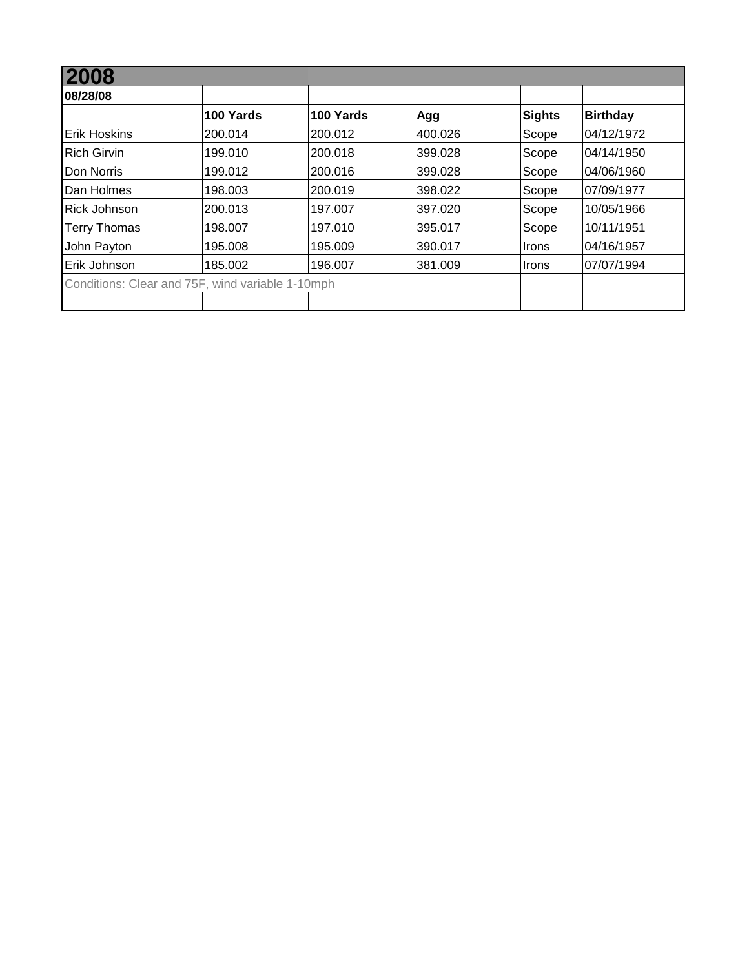| 08/28/08                                         |           |           |         |               |                 |
|--------------------------------------------------|-----------|-----------|---------|---------------|-----------------|
|                                                  | 100 Yards | 100 Yards | Agg     | <b>Sights</b> | <b>Birthday</b> |
| <b>IErik Hoskins</b>                             | 200.014   | 200.012   | 400.026 | Scope         | 04/12/1972      |
| <b>Rich Girvin</b>                               | 199.010   | 200.018   | 399.028 | Scope         | 04/14/1950      |
| Don Norris                                       | 199.012   | 200.016   | 399.028 | Scope         | 04/06/1960      |
| Dan Holmes                                       | 198.003   | 200.019   | 398.022 | Scope         | 07/09/1977      |
| <b>Rick Johnson</b>                              | 200.013   | 197.007   | 397.020 | Scope         | 10/05/1966      |
| <b>Terry Thomas</b>                              | 198.007   | 197.010   | 395.017 | Scope         | 10/11/1951      |
| John Payton                                      | 195.008   | 195.009   | 390.017 | Irons         | 04/16/1957      |
| Erik Johnson                                     | 185.002   | 196.007   | 381.009 | Irons         | 07/07/1994      |
| Conditions: Clear and 75F, wind variable 1-10mph |           |           |         |               |                 |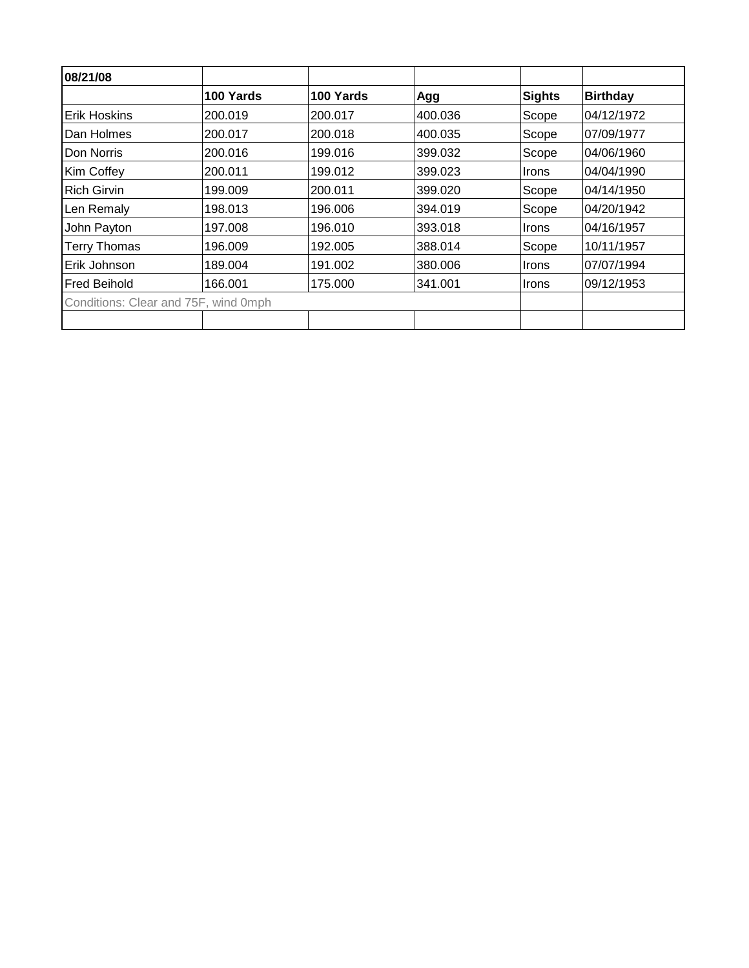| 08/21/08                             |           |           |         |               |                 |
|--------------------------------------|-----------|-----------|---------|---------------|-----------------|
|                                      | 100 Yards | 100 Yards | Agg     | <b>Sights</b> | <b>Birthday</b> |
| <b>Erik Hoskins</b>                  | 200.019   | 200.017   | 400.036 | Scope         | 04/12/1972      |
| Dan Holmes                           | 200.017   | 200.018   | 400.035 | Scope         | 107/09/1977     |
| Don Norris                           | 200.016   | 199.016   | 399.032 | Scope         | 04/06/1960      |
| Kim Coffey                           | 200.011   | 199.012   | 399.023 | Irons         | 04/04/1990      |
| <b>Rich Girvin</b>                   | 199.009   | 200.011   | 399.020 | Scope         | 04/14/1950      |
| Len Remaly                           | 198.013   | 196.006   | 394.019 | Scope         | 04/20/1942      |
| John Payton                          | 197.008   | 196.010   | 393.018 | <b>Irons</b>  | 04/16/1957      |
| <b>Terry Thomas</b>                  | 196.009   | 192.005   | 388.014 | Scope         | 10/11/1957      |
| Erik Johnson                         | 189.004   | 191.002   | 380.006 | <b>Irons</b>  | 07/07/1994      |
| <b>Fred Beihold</b>                  | 166.001   | 175,000   | 341.001 | Irons         | 09/12/1953      |
| Conditions: Clear and 75F, wind 0mph |           |           |         |               |                 |
|                                      |           |           |         |               |                 |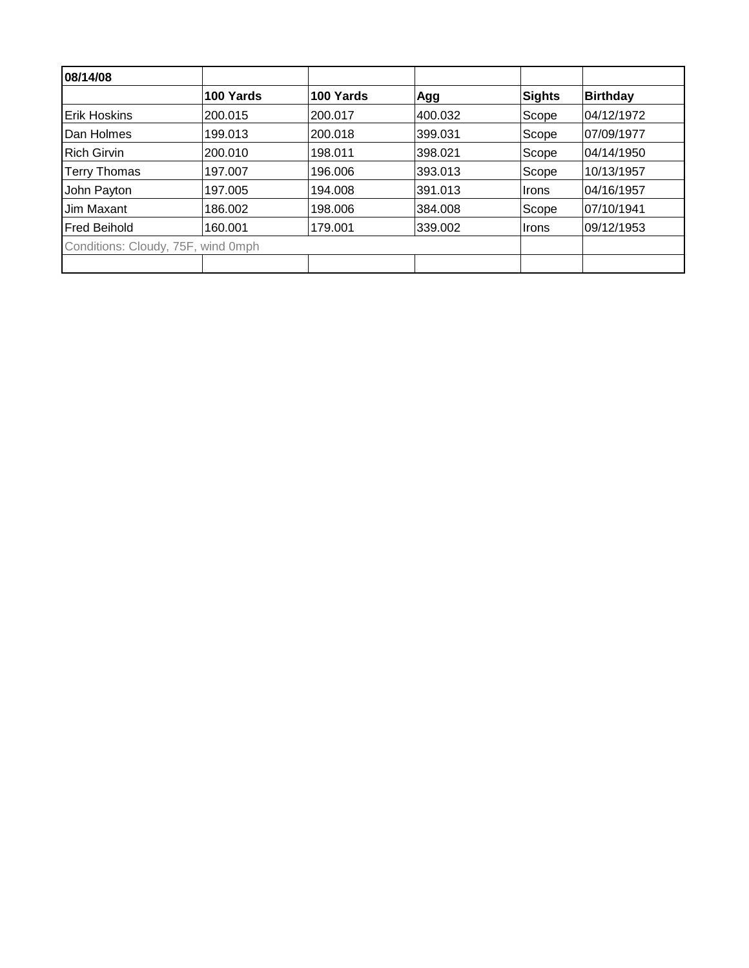| 08/14/08                           |           |           |         |        |                 |
|------------------------------------|-----------|-----------|---------|--------|-----------------|
|                                    | 100 Yards | 100 Yards | Agg     | Sights | <b>Birthday</b> |
| <b>IErik Hoskins</b>               | 200.015   | 200.017   | 400.032 | Scope  | 04/12/1972      |
| Dan Holmes                         | 199.013   | 200.018   | 399.031 | Scope  | 07/09/1977      |
| <b>Rich Girvin</b>                 | 200.010   | 198.011   | 398.021 | Scope  | 04/14/1950      |
| <b>Terry Thomas</b>                | 197.007   | 196.006   | 393.013 | Scope  | 10/13/1957      |
| John Payton                        | 197.005   | 194.008   | 391.013 | ∣Irons | 04/16/1957      |
| Jim Maxant                         | 186.002   | 198,006   | 384.008 | Scope  | 07/10/1941      |
| <b>IFred Beihold</b>               | 160.001   | 179.001   | 339.002 | ∣Irons | 09/12/1953      |
| Conditions: Cloudy, 75F, wind 0mph |           |           |         |        |                 |
|                                    |           |           |         |        |                 |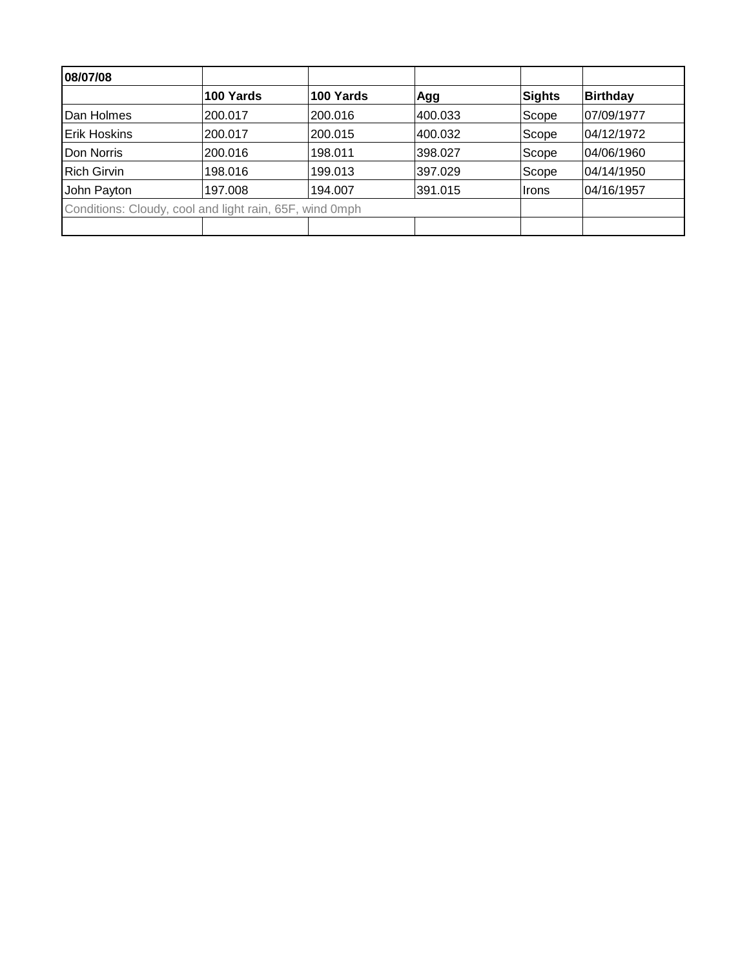| 08/07/08            |                                                         |           |         |               |            |
|---------------------|---------------------------------------------------------|-----------|---------|---------------|------------|
|                     | 100 Yards                                               | 100 Yards | Agg     | <b>Sights</b> | Birthday   |
| Dan Holmes          | 200.017                                                 | 200.016   | 400.033 | Scope         | 07/09/1977 |
| <b>Erik Hoskins</b> | 200.017                                                 | 200.015   | 400.032 | Scope         | 04/12/1972 |
| Don Norris          | 200.016                                                 | 198.011   | 398.027 | Scope         | 04/06/1960 |
| <b>Rich Girvin</b>  | 198.016                                                 | 199.013   | 397.029 | Scope         | 04/14/1950 |
| John Payton         | 197.008                                                 | 194.007   | 391.015 | Irons         | 04/16/1957 |
|                     | Conditions: Cloudy, cool and light rain, 65F, wind 0mph |           |         |               |            |
|                     |                                                         |           |         |               |            |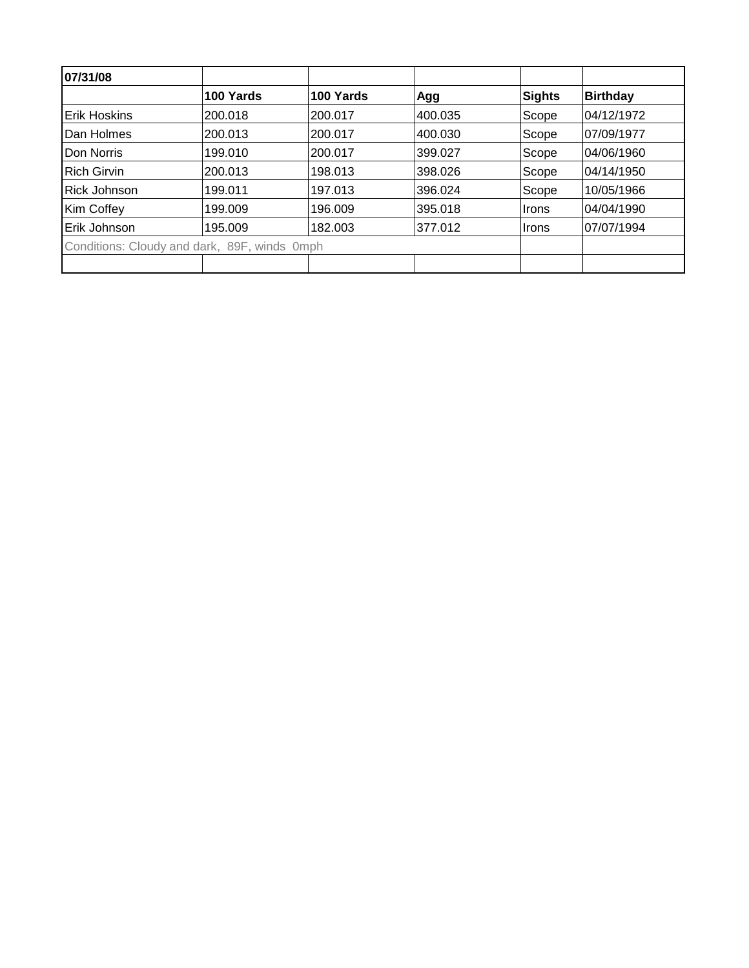| 07/31/08             |                                              |           |         |        |                 |
|----------------------|----------------------------------------------|-----------|---------|--------|-----------------|
|                      | 100 Yards                                    | 100 Yards | Agg     | Sights | <b>Birthday</b> |
| <b>IErik Hoskins</b> | 200.018                                      | 200.017   | 400.035 | Scope  | 04/12/1972      |
| Dan Holmes           | 200.013                                      | 200.017   | 400.030 | Scope  | 07/09/1977      |
| Don Norris           | 199.010                                      | 200.017   | 399.027 | Scope  | 04/06/1960      |
| <b>Rich Girvin</b>   | 200.013                                      | 198.013   | 398.026 | Scope  | 04/14/1950      |
| Rick Johnson         | 199.011                                      | 197.013   | 396.024 | Scope  | 10/05/1966      |
| Kim Coffey           | 199.009                                      | 196.009   | 395.018 | ∣Irons | 04/04/1990      |
| Erik Johnson         | 195.009                                      | 182.003   | 377.012 | ∣Irons | 07/07/1994      |
|                      | Conditions: Cloudy and dark, 89F, winds 0mph |           |         |        |                 |
|                      |                                              |           |         |        |                 |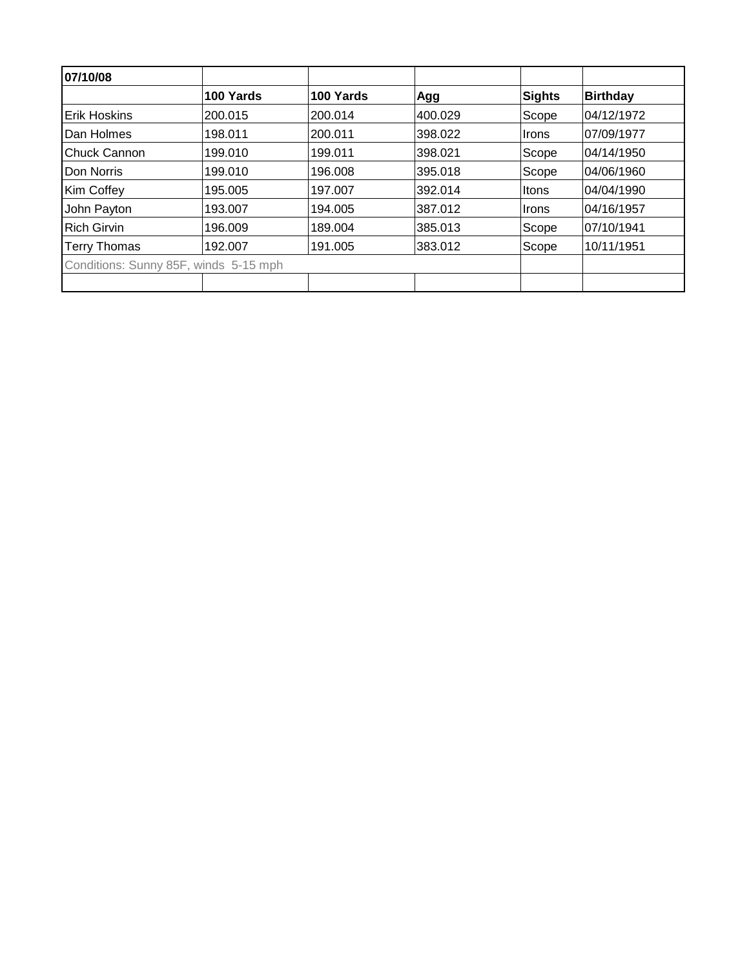| 07/10/08                              |           |           |         |               |                 |  |
|---------------------------------------|-----------|-----------|---------|---------------|-----------------|--|
|                                       | 100 Yards | 100 Yards | Agg     | <b>Sights</b> | <b>Birthday</b> |  |
| <b>Erik Hoskins</b>                   | 200.015   | 200.014   | 400.029 | Scope         | 04/12/1972      |  |
| Dan Holmes                            | 198.011   | 200.011   | 398.022 | <b>Irons</b>  | 07/09/1977      |  |
| <b>Chuck Cannon</b>                   | 199.010   | 199.011   | 398.021 | Scope         | 04/14/1950      |  |
| Don Norris                            | 199.010   | 196.008   | 395.018 | Scope         | 04/06/1960      |  |
| Kim Coffey                            | 195.005   | 197.007   | 392.014 | Itons         | 04/04/1990      |  |
| John Payton                           | 193.007   | 194.005   | 387.012 | Irons         | 04/16/1957      |  |
| <b>Rich Girvin</b>                    | 196.009   | 189.004   | 385.013 | Scope         | 07/10/1941      |  |
| <b>Terry Thomas</b>                   | 192.007   | 191.005   | 383.012 | Scope         | 10/11/1951      |  |
| Conditions: Sunny 85F, winds 5-15 mph |           |           |         |               |                 |  |
|                                       |           |           |         |               |                 |  |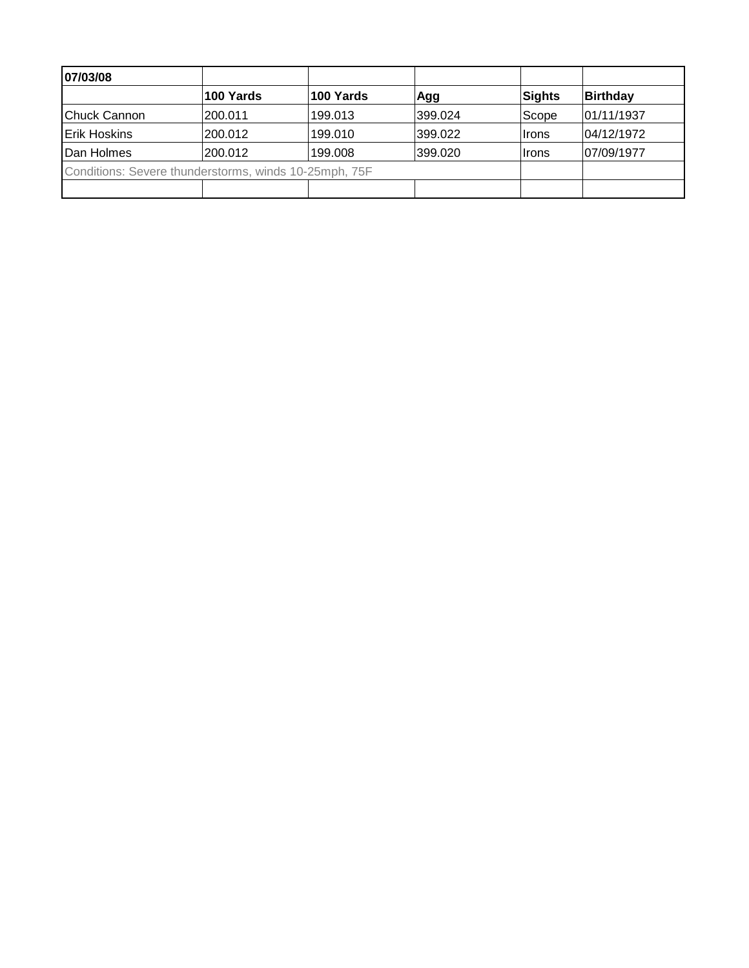| 07/03/08                                              |           |           |         |               |                 |
|-------------------------------------------------------|-----------|-----------|---------|---------------|-----------------|
|                                                       | 100 Yards | 100 Yards | Agg     | <b>Sights</b> | <b>Birthday</b> |
| Chuck Cannon                                          | 200.011   | 199.013   | 399.024 | Scope         | 01/11/1937      |
| <b>Erik Hoskins</b>                                   | 200.012   | 199.010   | 399.022 | Irons         | 04/12/1972      |
| Dan Holmes                                            | 200.012   | 199.008   | 399.020 | Irons         | 07/09/1977      |
| Conditions: Severe thunderstorms, winds 10-25mph, 75F |           |           |         |               |                 |
|                                                       |           |           |         |               |                 |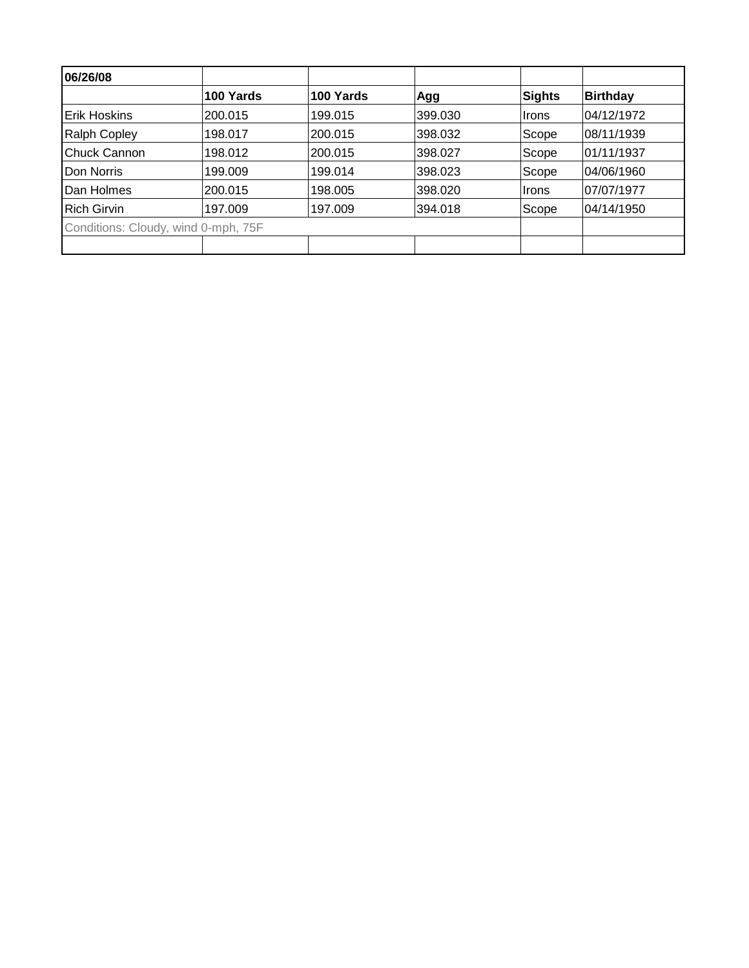| 06/26/08                            |           |           |         |        |                 |
|-------------------------------------|-----------|-----------|---------|--------|-----------------|
|                                     | 100 Yards | 100 Yards | Agg     | Sights | <b>Birthday</b> |
| <b>Erik Hoskins</b>                 | 200.015   | 199.015   | 399.030 | Irons  | 04/12/1972      |
| <b>Ralph Copley</b>                 | 198.017   | 200.015   | 398.032 | Scope  | 08/11/1939      |
| Chuck Cannon                        | 198.012   | 200.015   | 398.027 | Scope  | 01/11/1937      |
| Don Norris                          | 199.009   | 199.014   | 398.023 | Scope  | 04/06/1960      |
| Dan Holmes                          | 200.015   | 198.005   | 398.020 | ∣Irons | 07/07/1977      |
| <b>Rich Girvin</b>                  | 197.009   | 197.009   | 394.018 | Scope  | 04/14/1950      |
| Conditions: Cloudy, wind 0-mph, 75F |           |           |         |        |                 |
|                                     |           |           |         |        |                 |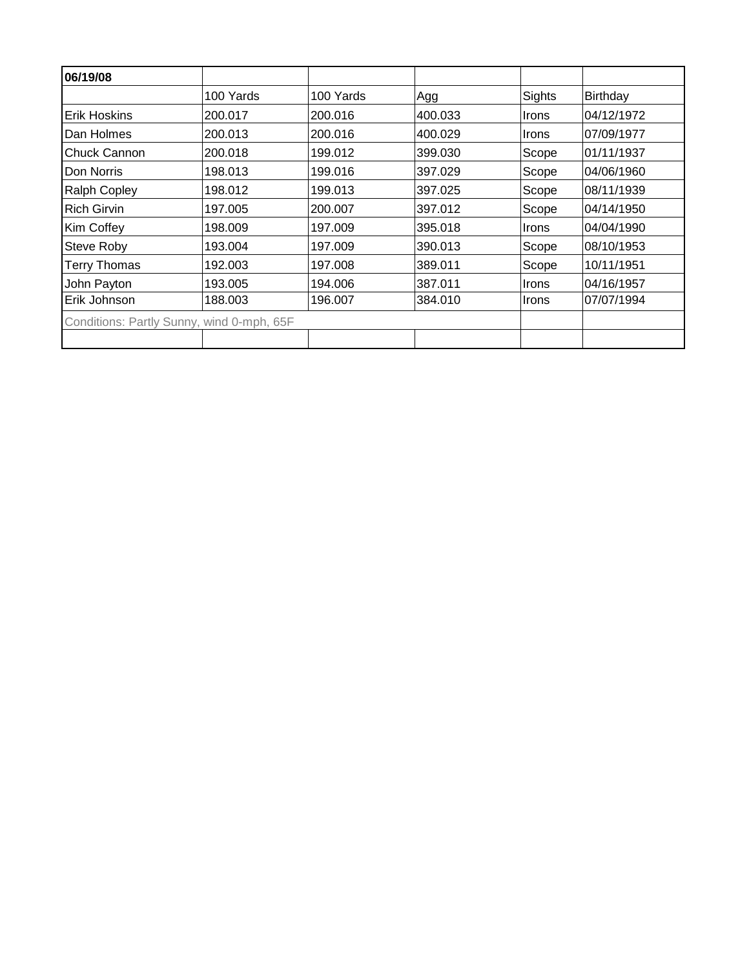| 06/19/08                                  |           |           |         |              |            |
|-------------------------------------------|-----------|-----------|---------|--------------|------------|
|                                           | 100 Yards | 100 Yards | Agg     | Sights       | Birthday   |
| <b>Erik Hoskins</b>                       | 200.017   | 200.016   | 400.033 | <b>Irons</b> | 04/12/1972 |
| Dan Holmes                                | 200.013   | 200.016   | 400.029 | Irons        | 07/09/1977 |
| Chuck Cannon                              | 200.018   | 199.012   | 399.030 | Scope        | 01/11/1937 |
| Don Norris                                | 198.013   | 199.016   | 397.029 | Scope        | 04/06/1960 |
| <b>Ralph Copley</b>                       | 198.012   | 199.013   | 397.025 | Scope        | 08/11/1939 |
| <b>Rich Girvin</b>                        | 197.005   | 200.007   | 397.012 | Scope        | 04/14/1950 |
| Kim Coffey                                | 198.009   | 197.009   | 395.018 | Irons        | 04/04/1990 |
| <b>Steve Roby</b>                         | 193.004   | 197.009   | 390.013 | Scope        | 08/10/1953 |
| <b>Terry Thomas</b>                       | 192.003   | 197.008   | 389.011 | Scope        | 10/11/1951 |
| John Payton                               | 193.005   | 194.006   | 387.011 | <b>Irons</b> | 04/16/1957 |
| Erik Johnson                              | 188.003   | 196.007   | 384.010 | Irons        | 07/07/1994 |
| Conditions: Partly Sunny, wind 0-mph, 65F |           |           |         |              |            |
|                                           |           |           |         |              |            |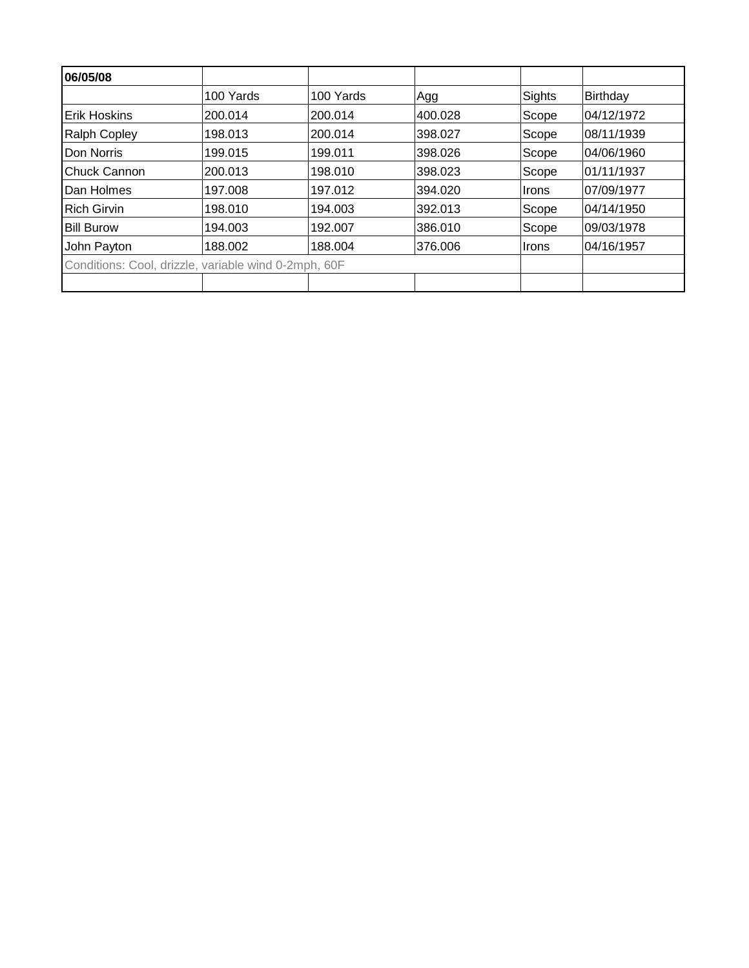| 06/05/08                                             |           |           |         |              |            |  |  |
|------------------------------------------------------|-----------|-----------|---------|--------------|------------|--|--|
|                                                      | 100 Yards | 100 Yards | Agg     | Sights       | Birthday   |  |  |
| <b>Erik Hoskins</b>                                  | 200.014   | 200.014   | 400.028 | Scope        | 04/12/1972 |  |  |
| <b>Ralph Copley</b>                                  | 198.013   | 200.014   | 398.027 | Scope        | 08/11/1939 |  |  |
| Don Norris                                           | 199.015   | 199.011   | 398.026 | Scope        | 04/06/1960 |  |  |
| Chuck Cannon                                         | 200.013   | 198.010   | 398.023 | Scope        | 01/11/1937 |  |  |
| Dan Holmes                                           | 197.008   | 197.012   | 394.020 | ∣Irons       | 07/09/1977 |  |  |
| <b>Rich Girvin</b>                                   | 198.010   | 194.003   | 392.013 | Scope        | 04/14/1950 |  |  |
| <b>Bill Burow</b>                                    | 194.003   | 192.007   | 386.010 | Scope        | 09/03/1978 |  |  |
| John Payton                                          | 188.002   | 188.004   | 376.006 | <b>Irons</b> | 04/16/1957 |  |  |
| Conditions: Cool, drizzle, variable wind 0-2mph, 60F |           |           |         |              |            |  |  |
|                                                      |           |           |         |              |            |  |  |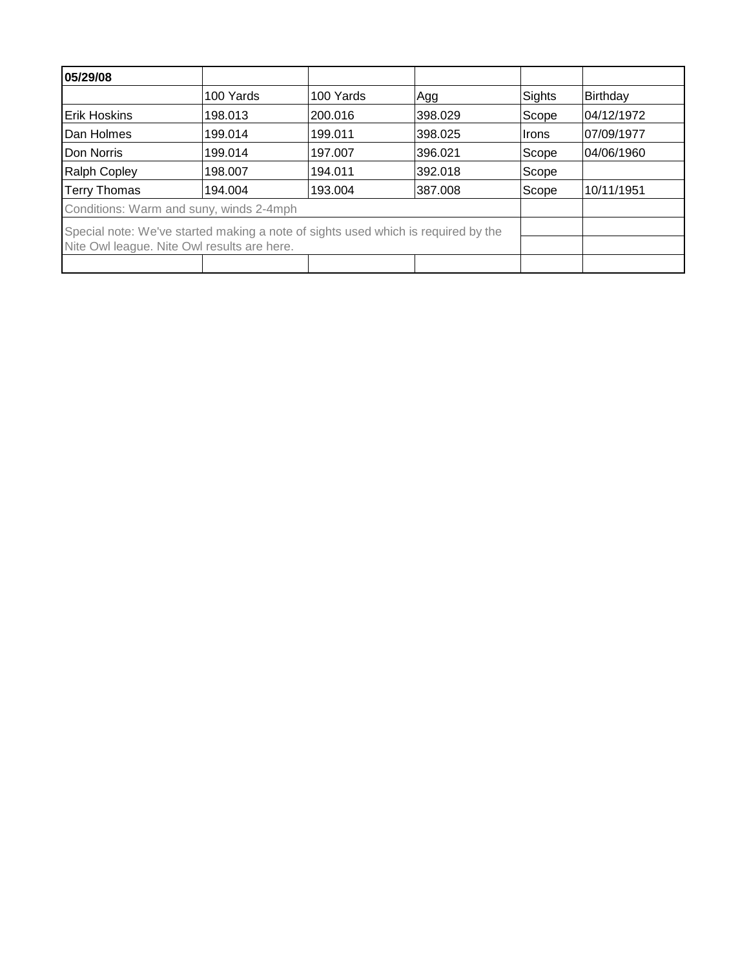| 05/29/08                                                                          |           |           |         |        |            |
|-----------------------------------------------------------------------------------|-----------|-----------|---------|--------|------------|
|                                                                                   | 100 Yards | 100 Yards | Agg     | Sights | Birthday   |
| <b>Erik Hoskins</b>                                                               | 198.013   | 200.016   | 398.029 | Scope  | 04/12/1972 |
| Dan Holmes                                                                        | 199.014   | 199.011   | 398.025 | Irons  | 07/09/1977 |
| Don Norris                                                                        | 199.014   | 197.007   | 396.021 | Scope  | 04/06/1960 |
| <b>Ralph Copley</b>                                                               | 198.007   | 194.011   | 392.018 | Scope  |            |
| <b>Terry Thomas</b>                                                               | 194.004   | 193.004   | 387.008 | Scope  | 10/11/1951 |
| Conditions: Warm and suny, winds 2-4mph                                           |           |           |         |        |            |
| Special note: We've started making a note of sights used which is required by the |           |           |         |        |            |
| Nite Owl league. Nite Owl results are here.                                       |           |           |         |        |            |
|                                                                                   |           |           |         |        |            |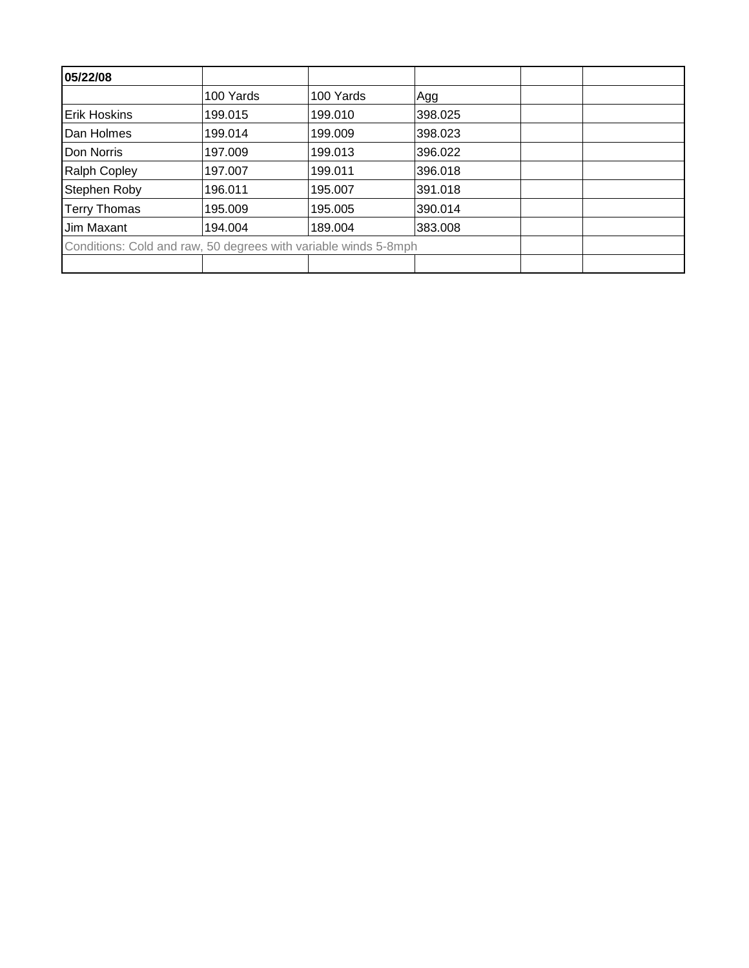| 05/22/08                                                        |           |           |         |  |
|-----------------------------------------------------------------|-----------|-----------|---------|--|
|                                                                 | 100 Yards | 100 Yards | Agg     |  |
| Erik Hoskins                                                    | 199.015   | 199.010   | 398.025 |  |
| Dan Holmes                                                      | 199.014   | 199.009   | 398.023 |  |
| Don Norris                                                      | 197.009   | 199.013   | 396.022 |  |
| <b>Ralph Copley</b>                                             | 197.007   | 199.011   | 396.018 |  |
| Stephen Roby                                                    | 196.011   | 195.007   | 391.018 |  |
| <b>Terry Thomas</b>                                             | 195.009   | 195.005   | 390.014 |  |
| Jim Maxant                                                      | 194.004   | 189.004   | 383.008 |  |
| Conditions: Cold and raw, 50 degrees with variable winds 5-8mph |           |           |         |  |
|                                                                 |           |           |         |  |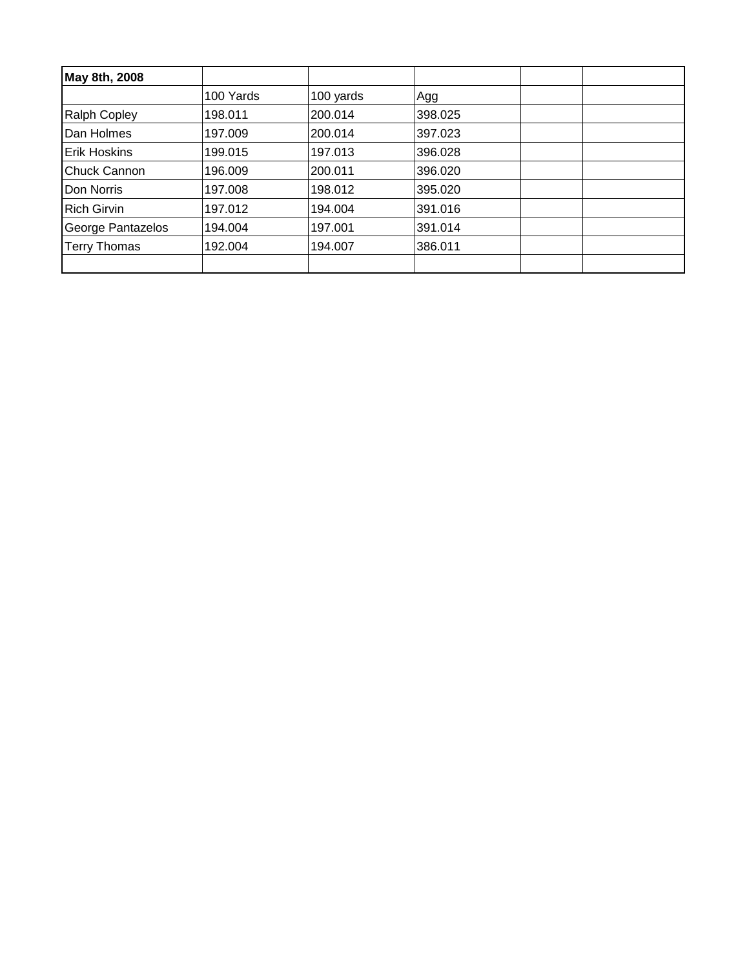| May 8th, 2008       |           |           |         |  |
|---------------------|-----------|-----------|---------|--|
|                     | 100 Yards | 100 yards | Agg     |  |
| <b>Ralph Copley</b> | 198.011   | 200.014   | 398.025 |  |
| Dan Holmes          | 197.009   | 200.014   | 397.023 |  |
| <b>Erik Hoskins</b> | 199.015   | 197.013   | 396.028 |  |
| <b>Chuck Cannon</b> | 196.009   | 200.011   | 396.020 |  |
| Don Norris          | 197.008   | 198.012   | 395.020 |  |
| <b>Rich Girvin</b>  | 197.012   | 194.004   | 391.016 |  |
| George Pantazelos   | 194.004   | 197.001   | 391.014 |  |
| <b>Terry Thomas</b> | 192.004   | 194.007   | 386.011 |  |
|                     |           |           |         |  |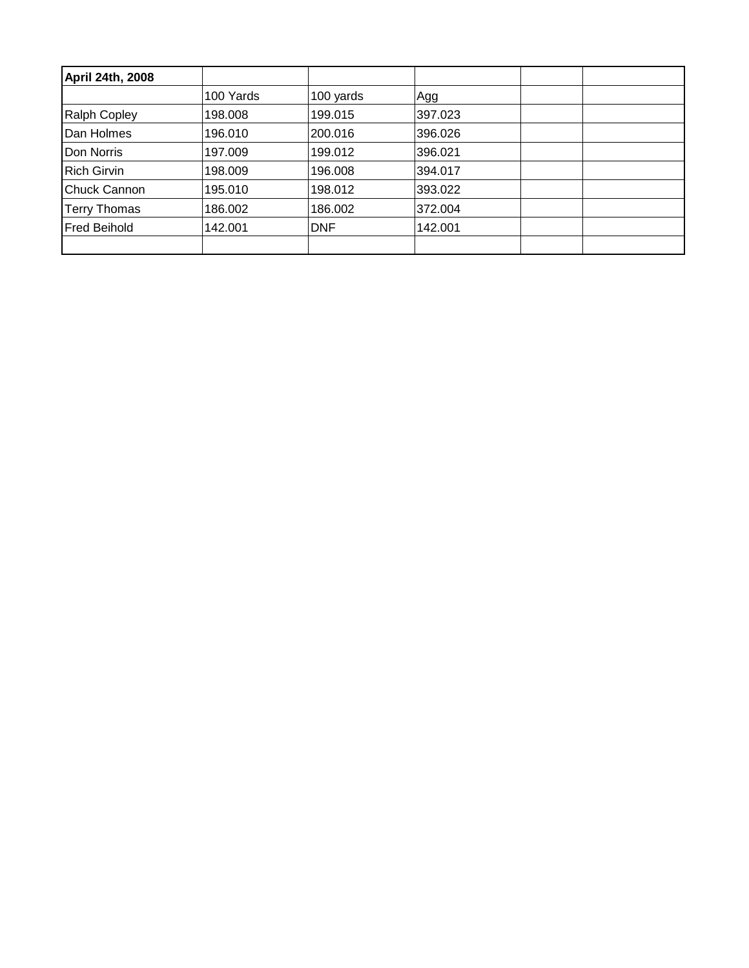| April 24th, 2008    |           |            |         |  |
|---------------------|-----------|------------|---------|--|
|                     | 100 Yards | 100 yards  | Agg     |  |
| <b>Ralph Copley</b> | 198.008   | 199.015    | 397.023 |  |
| Dan Holmes          | 196.010   | 200.016    | 396.026 |  |
| Don Norris          | 197.009   | 199.012    | 396.021 |  |
| <b>Rich Girvin</b>  | 198.009   | 196.008    | 394.017 |  |
| <b>Chuck Cannon</b> | 195.010   | 198.012    | 393.022 |  |
| <b>Terry Thomas</b> | 186.002   | 186.002    | 372.004 |  |
| <b>Fred Beihold</b> | 142.001   | <b>DNF</b> | 142.001 |  |
|                     |           |            |         |  |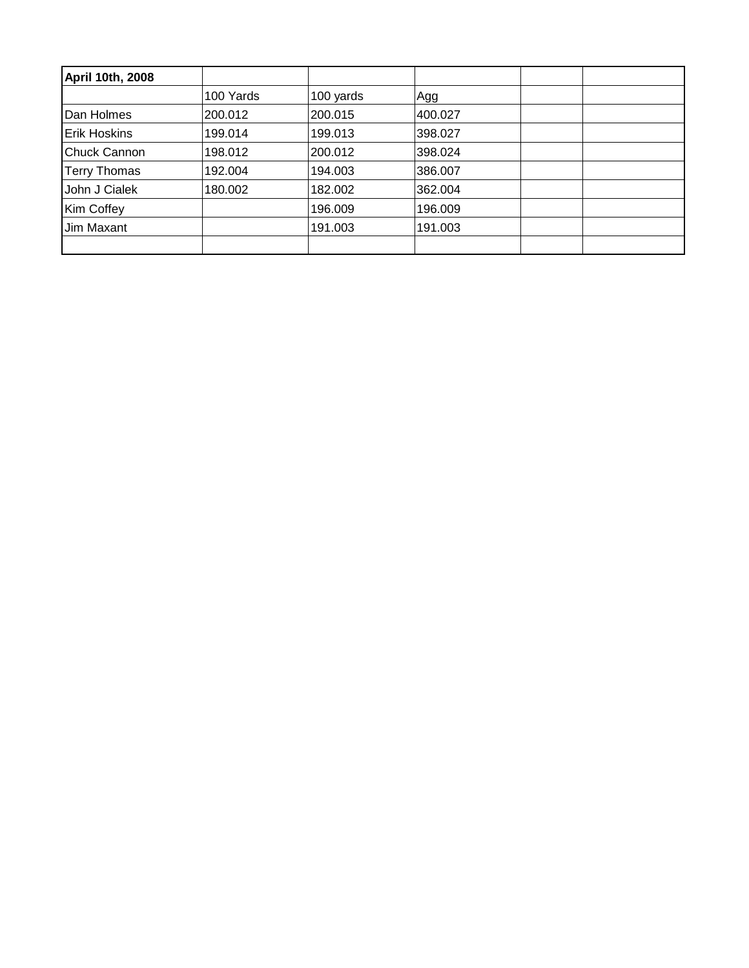| April 10th, 2008    |           |           |         |  |
|---------------------|-----------|-----------|---------|--|
|                     | 100 Yards | 100 yards | Agg     |  |
| Dan Holmes          | 200.012   | 200.015   | 400.027 |  |
| <b>Erik Hoskins</b> | 199.014   | 199.013   | 398.027 |  |
| <b>Chuck Cannon</b> | 198.012   | 200.012   | 398.024 |  |
| <b>Terry Thomas</b> | 192.004   | 194.003   | 386.007 |  |
| John J Cialek       | 180.002   | 182.002   | 362.004 |  |
| Kim Coffey          |           | 196.009   | 196.009 |  |
| Jim Maxant          |           | 191.003   | 191.003 |  |
|                     |           |           |         |  |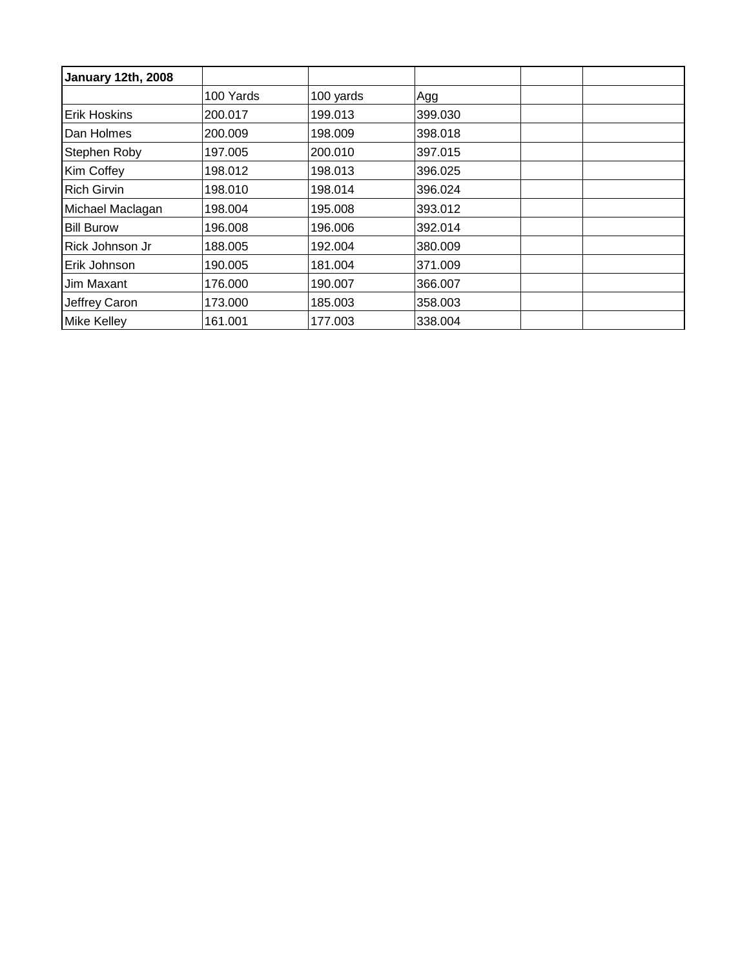| January 12th, 2008  |           |           |         |  |
|---------------------|-----------|-----------|---------|--|
|                     | 100 Yards | 100 yards | Agg     |  |
| <b>Erik Hoskins</b> | 200.017   | 199.013   | 399.030 |  |
| Dan Holmes          | 200.009   | 198.009   | 398.018 |  |
| Stephen Roby        | 197.005   | 200.010   | 397.015 |  |
| Kim Coffey          | 198.012   | 198.013   | 396.025 |  |
| <b>Rich Girvin</b>  | 198.010   | 198.014   | 396.024 |  |
| Michael Maclagan    | 198.004   | 195.008   | 393.012 |  |
| <b>Bill Burow</b>   | 196.008   | 196.006   | 392.014 |  |
| Rick Johnson Jr     | 188.005   | 192.004   | 380.009 |  |
| Erik Johnson        | 190.005   | 181.004   | 371.009 |  |
| Jim Maxant          | 176.000   | 190.007   | 366.007 |  |
| Jeffrey Caron       | 173.000   | 185.003   | 358.003 |  |
| <b>Mike Kelley</b>  | 161.001   | 177.003   | 338.004 |  |